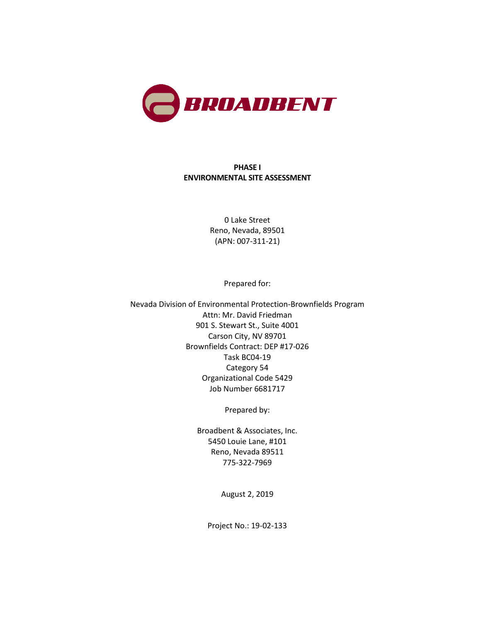

#### **PHASE I ENVIRONMENTAL SITE ASSESSMENT**

0 Lake Street Reno, Nevada, 89501 (APN: 007-311-21)

Prepared for:

Nevada Division of Environmental Protection-Brownfields Program Attn: Mr. David Friedman 901 S. Stewart St., Suite 4001 Carson City, NV 89701 Brownfields Contract: DEP #17-026 Task BC04-19 Category 54 Organizational Code 5429 Job Number 6681717

Prepared by:

Broadbent & Associates, Inc. 5450 Louie Lane, #101 Reno, Nevada 89511 775-322-7969

August 2, 2019

Project No.: 19-02-133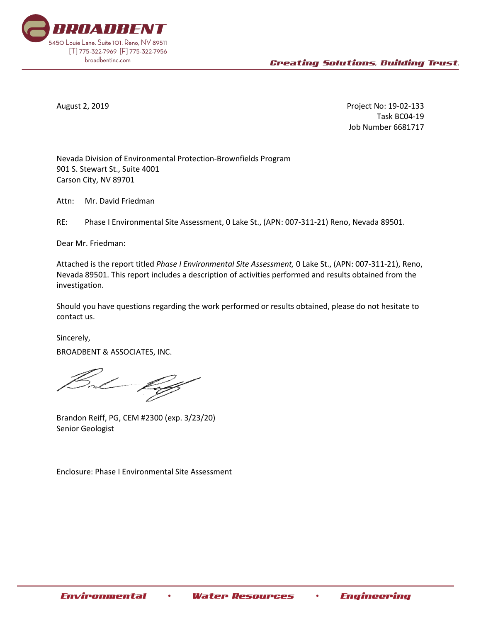

August 2, 2019 Project No: 19-02-133 Task BC04-19 Job Number 6681717

Nevada Division of Environmental Protection-Brownfields Program 901 S. Stewart St., Suite 4001 Carson City, NV 89701

Attn: Mr. David Friedman

RE: Phase I Environmental Site Assessment, 0 Lake St., (APN: 007-311-21) Reno, Nevada 89501.

Dear Mr. Friedman:

Attached is the report titled *Phase I Environmental Site Assessment,* 0 Lake St., (APN: 007-311-21), Reno, Nevada 89501. This report includes a description of activities performed and results obtained from the investigation.

Should you have questions regarding the work performed or results obtained, please do not hesitate to contact us.

Sincerely, BROADBENT & ASSOCIATES, INC.

Brandon Reiff, PG, CEM #2300 (exp. 3/23/20) Senior Geologist

Enclosure: Phase I Environmental Site Assessment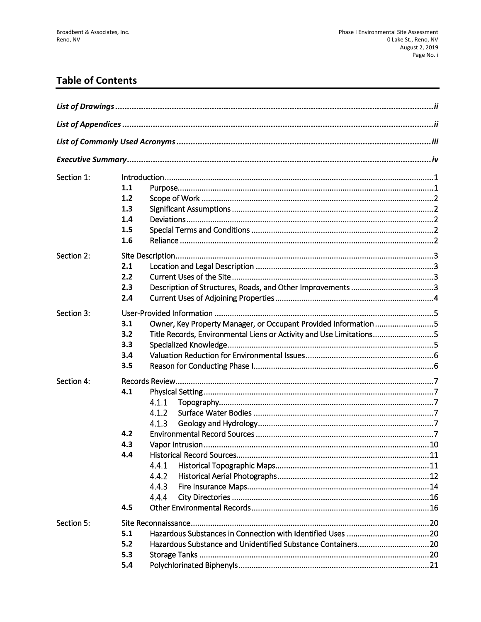# **Table of Contents**

| Section 1: | $\label{eq:1} \textsf{Introduction}.\textcolor{red}{\textsf{num}}\textcolor{red}{\textsf{num}}\textcolor{red}{\textsf{num}}\textcolor{red}{\textsf{num}}\textcolor{red}{\textsf{num}}\textcolor{red}{\textsf{num}}\textcolor{red}{\textsf{num}}\textcolor{red}{\textsf{num}}\textcolor{red}{\textsf{num}}\textcolor{red}{\textsf{num}}\textcolor{red}{\textsf{num}}\textcolor{red}{\textsf{num}}\textcolor{red}{\textsf{num}}\textcolor{red}{\textsf{num}}\textcolor{red}{\textsf{num}}\textcolor{red}{\textsf{num}}\textcolor{red}{\textsf{num}}\textcolor$<br>1.1<br>1.2<br>1.3<br>1.4<br>1.5<br>1.6 |
|------------|--------------------------------------------------------------------------------------------------------------------------------------------------------------------------------------------------------------------------------------------------------------------------------------------------------------------------------------------------------------------------------------------------------------------------------------------------------------------------------------------------------------------------------------------------------------------------------------------------------|
| Section 2: | 2.1<br>2.2<br>2.3<br>2.4                                                                                                                                                                                                                                                                                                                                                                                                                                                                                                                                                                               |
| Section 3: | Owner, Key Property Manager, or Occupant Provided Information5<br>3.1<br>Title Records, Environmental Liens or Activity and Use Limitations5<br>3.2<br>3.3<br>3.4<br>3.5                                                                                                                                                                                                                                                                                                                                                                                                                               |
| Section 4: | 4.1<br>4.1.1<br>4.1.2<br>4.1.3<br>4.2<br>4.3<br>4.4<br>4.4.1<br>4.4.2<br>4.4.3<br>4.4.4<br>4.5                                                                                                                                                                                                                                                                                                                                                                                                                                                                                                         |
| Section 5: | 5.1<br>Hazardous Substance and Unidentified Substance Containers20<br>5.2<br>5.3<br>5.4                                                                                                                                                                                                                                                                                                                                                                                                                                                                                                                |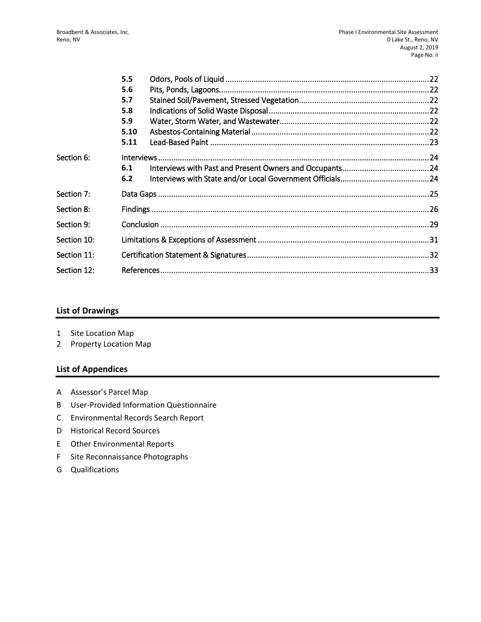|             | 5.5  |  |  |
|-------------|------|--|--|
|             | 5.6  |  |  |
|             | 5.7  |  |  |
|             | 5.8  |  |  |
|             | 5.9  |  |  |
|             | 5.10 |  |  |
|             | 5.11 |  |  |
| Section 6:  |      |  |  |
|             | 6.1  |  |  |
|             | 6.2  |  |  |
| Section 7:  |      |  |  |
| Section 8:  |      |  |  |
| Section 9:  |      |  |  |
| Section 10: |      |  |  |
| Section 11: |      |  |  |
| Section 12: |      |  |  |

#### **List of Drawings**

- 1 Site Location Map
- 2 Property Location Map

#### **List of Appendices**

- A Assessor's Parcel Map
- B User-Provided Information Questionnaire
- C Environmental Records Search Report
- D Historical Record Sources
- E Other Environmental Reports
- F Site Reconnaissance Photographs
- G Qualifications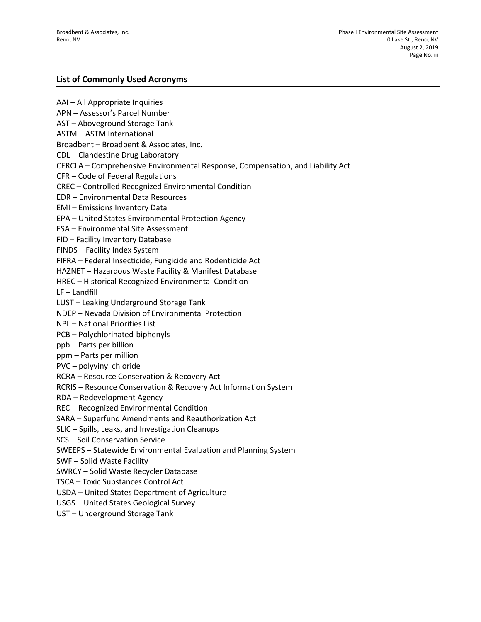#### **List of Commonly Used Acronyms**

AAI – All Appropriate Inquiries APN – Assessor's Parcel Number AST – Aboveground Storage Tank ASTM – ASTM International Broadbent – Broadbent & Associates, Inc. CDL – Clandestine Drug Laboratory CERCLA – Comprehensive Environmental Response, Compensation, and Liability Act CFR – Code of Federal Regulations CREC – Controlled Recognized Environmental Condition EDR – Environmental Data Resources EMI – Emissions Inventory Data EPA – United States Environmental Protection Agency ESA – Environmental Site Assessment FID – Facility Inventory Database FINDS – Facility Index System FIFRA – Federal Insecticide, Fungicide and Rodenticide Act HAZNET – Hazardous Waste Facility & Manifest Database HREC – Historical Recognized Environmental Condition LF – Landfill LUST – Leaking Underground Storage Tank NDEP – Nevada Division of Environmental Protection NPL – National Priorities List PCB – Polychlorinated-biphenyls ppb – Parts per billion ppm – Parts per million PVC – polyvinyl chloride RCRA – Resource Conservation & Recovery Act RCRIS – Resource Conservation & Recovery Act Information System RDA – Redevelopment Agency REC – Recognized Environmental Condition SARA – Superfund Amendments and Reauthorization Act SLIC – Spills, Leaks, and Investigation Cleanups SCS – Soil Conservation Service SWEEPS – Statewide Environmental Evaluation and Planning System SWF – Solid Waste Facility SWRCY – Solid Waste Recycler Database TSCA – Toxic Substances Control Act USDA – United States Department of Agriculture USGS – United States Geological Survey UST – Underground Storage Tank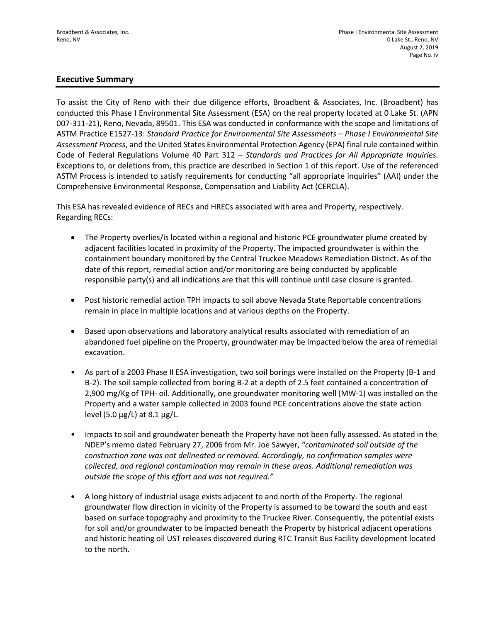#### **Executive Summary**

To assist the City of Reno with their due diligence efforts, Broadbent & Associates, Inc. (Broadbent) has conducted this Phase I Environmental Site Assessment (ESA) on the real property located at 0 Lake St. (APN 007-311-21), Reno, Nevada, 89501. This ESA was conducted in conformance with the scope and limitations of ASTM Practice E1527-13: *Standard Practice for Environmental Site Assessments – Phase I Environmental Site Assessment Process*, and the United States Environmental Protection Agency (EPA) final rule contained within Code of Federal Regulations Volume 40 Part 312 – *Standards and Practices for All Appropriate Inquiries*. Exceptions to, or deletions from, this practice are described in Section 1 of this report. Use of the referenced ASTM Process is intended to satisfy requirements for conducting "all appropriate inquiries" (AAI) under the Comprehensive Environmental Response, Compensation and Liability Act (CERCLA).

This ESA has revealed evidence of RECs and HRECs associated with area and Property, respectively. Regarding RECs:

- The Property overlies/is located within a regional and historic PCE groundwater plume created by adjacent facilities located in proximity of the Property. The impacted groundwater is within the containment boundary monitored by the Central Truckee Meadows Remediation District. As of the date of this report, remedial action and/or monitoring are being conducted by applicable responsible party(s) and all indications are that this will continue until case closure is granted.
- Post historic remedial action TPH impacts to soil above Nevada State Reportable concentrations remain in place in multiple locations and at various depths on the Property.
- Based upon observations and laboratory analytical results associated with remediation of an abandoned fuel pipeline on the Property, groundwater may be impacted below the area of remedial excavation.
- As part of a 2003 Phase II ESA investigation, two soil borings were installed on the Property (B-1 and B-2). The soil sample collected from boring B-2 at a depth of 2.5 feet contained a concentration of 2,900 mg/Kg of TPH- oil. Additionally, one groundwater monitoring well (MW-1) was installed on the Property and a water sample collected in 2003 found PCE concentrations above the state action level (5.0  $\mu$ g/L) at 8.1  $\mu$ g/L.
- Impacts to soil and groundwater beneath the Property have not been fully assessed. As stated in the NDEP's memo dated February 27, 2006 from Mr. Joe Sawyer, *"contaminated soil outside of the construction zone was not delineated or removed. Accordingly, no confirmation samples were collected, and regional contamination may remain in these areas. Additional remediation was outside the scope of this effort and was not required."*
- A long history of industrial usage exists adjacent to and north of the Property. The regional groundwater flow direction in vicinity of the Property is assumed to be toward the south and east based on surface topography and proximity to the Truckee River. Consequently, the potential exists for soil and/or groundwater to be impacted beneath the Property by historical adjacent operations and historic heating oil UST releases discovered during RTC Transit Bus Facility development located to the north.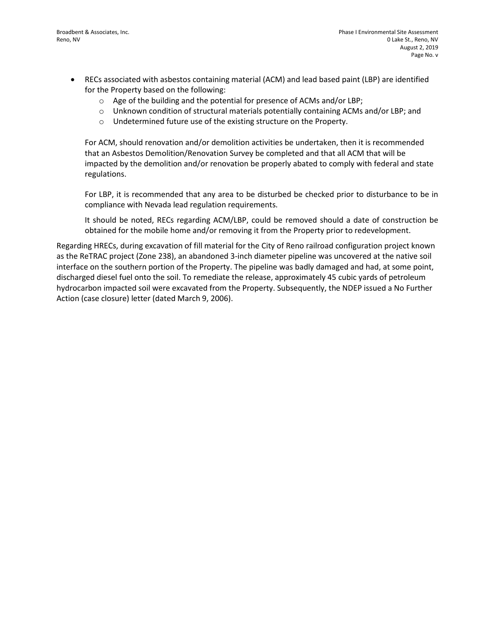- RECs associated with asbestos containing material (ACM) and lead based paint (LBP) are identified for the Property based on the following:
	- o Age of the building and the potential for presence of ACMs and/or LBP;
	- o Unknown condition of structural materials potentially containing ACMs and/or LBP; and
	- o Undetermined future use of the existing structure on the Property.

For ACM, should renovation and/or demolition activities be undertaken, then it is recommended that an Asbestos Demolition/Renovation Survey be completed and that all ACM that will be impacted by the demolition and/or renovation be properly abated to comply with federal and state regulations.

For LBP, it is recommended that any area to be disturbed be checked prior to disturbance to be in compliance with Nevada lead regulation requirements.

It should be noted, RECs regarding ACM/LBP, could be removed should a date of construction be obtained for the mobile home and/or removing it from the Property prior to redevelopment.

Regarding HRECs, during excavation of fill material for the City of Reno railroad configuration project known as the ReTRAC project (Zone 238), an abandoned 3-inch diameter pipeline was uncovered at the native soil interface on the southern portion of the Property. The pipeline was badly damaged and had, at some point, discharged diesel fuel onto the soil. To remediate the release, approximately 45 cubic yards of petroleum hydrocarbon impacted soil were excavated from the Property. Subsequently, the NDEP issued a No Further Action (case closure) letter (dated March 9, 2006).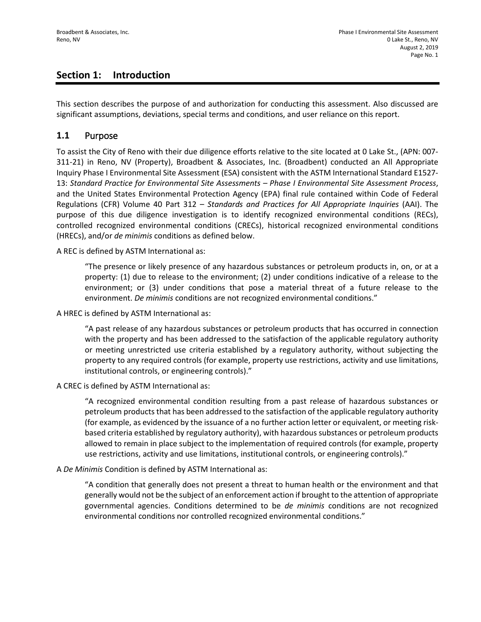## **Section 1: Introduction**

This section describes the purpose of and authorization for conducting this assessment. Also discussed are significant assumptions, deviations, special terms and conditions, and user reliance on this report.

#### **1.1** Purpose

To assist the City of Reno with their due diligence efforts relative to the site located at 0 Lake St., (APN: 007- 311-21) in Reno, NV (Property), Broadbent & Associates, Inc. (Broadbent) conducted an All Appropriate Inquiry Phase I Environmental Site Assessment (ESA) consistent with the ASTM International Standard E1527- 13: *Standard Practice for Environmental Site Assessments – Phase I Environmental Site Assessment Process*, and the United States Environmental Protection Agency (EPA) final rule contained within Code of Federal Regulations (CFR) Volume 40 Part 312 – *Standards and Practices for All Appropriate Inquiries* (AAI). The purpose of this due diligence investigation is to identify recognized environmental conditions (RECs), controlled recognized environmental conditions (CRECs), historical recognized environmental conditions (HRECs), and/or *de minimis* conditions as defined below.

A REC is defined by ASTM International as:

"The presence or likely presence of any hazardous substances or petroleum products in, on, or at a property: (1) due to release to the environment; (2) under conditions indicative of a release to the environment; or (3) under conditions that pose a material threat of a future release to the environment. *De minimis* conditions are not recognized environmental conditions."

A HREC is defined by ASTM International as:

"A past release of any hazardous substances or petroleum products that has occurred in connection with the property and has been addressed to the satisfaction of the applicable regulatory authority or meeting unrestricted use criteria established by a regulatory authority, without subjecting the property to any required controls (for example, property use restrictions, activity and use limitations, institutional controls, or engineering controls)."

A CREC is defined by ASTM International as:

"A recognized environmental condition resulting from a past release of hazardous substances or petroleum products that has been addressed to the satisfaction of the applicable regulatory authority (for example, as evidenced by the issuance of a no further action letter or equivalent, or meeting riskbased criteria established by regulatory authority), with hazardous substances or petroleum products allowed to remain in place subject to the implementation of required controls (for example, property use restrictions, activity and use limitations, institutional controls, or engineering controls)."

A *De Minimis* Condition is defined by ASTM International as:

"A condition that generally does not present a threat to human health or the environment and that generally would not be the subject of an enforcement action if brought to the attention of appropriate governmental agencies. Conditions determined to be *de minimis* conditions are not recognized environmental conditions nor controlled recognized environmental conditions."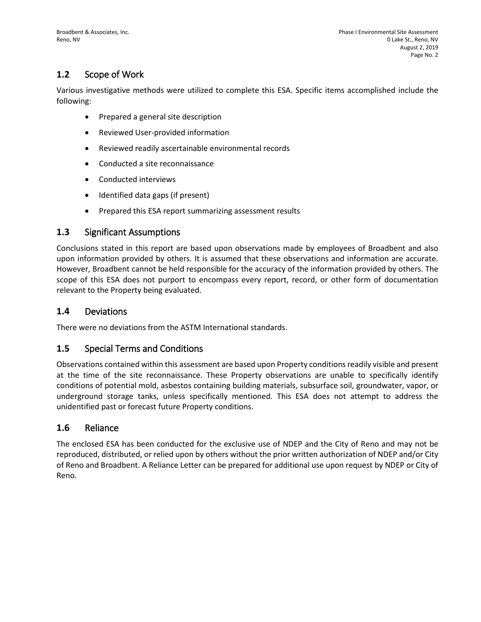## **1.2** Scope of Work

Various investigative methods were utilized to complete this ESA. Specific items accomplished include the following:

- Prepared a general site description
- Reviewed User-provided information
- Reviewed readily ascertainable environmental records
- Conducted a site reconnaissance
- Conducted interviews
- Identified data gaps (if present)
- Prepared this ESA report summarizing assessment results

#### **1.3** Significant Assumptions

Conclusions stated in this report are based upon observations made by employees of Broadbent and also upon information provided by others. It is assumed that these observations and information are accurate. However, Broadbent cannot be held responsible for the accuracy of the information provided by others. The scope of this ESA does not purport to encompass every report, record, or other form of documentation relevant to the Property being evaluated.

#### **1.4** Deviations

There were no deviations from the ASTM International standards.

#### **1.5** Special Terms and Conditions

Observations contained within this assessment are based upon Property conditions readily visible and present at the time of the site reconnaissance. These Property observations are unable to specifically identify conditions of potential mold, asbestos containing building materials, subsurface soil, groundwater, vapor, or underground storage tanks, unless specifically mentioned. This ESA does not attempt to address the unidentified past or forecast future Property conditions.

#### **1.6** Reliance

The enclosed ESA has been conducted for the exclusive use of NDEP and the City of Reno and may not be reproduced, distributed, or relied upon by others without the prior written authorization of NDEP and/or City of Reno and Broadbent. A Reliance Letter can be prepared for additional use upon request by NDEP or City of Reno.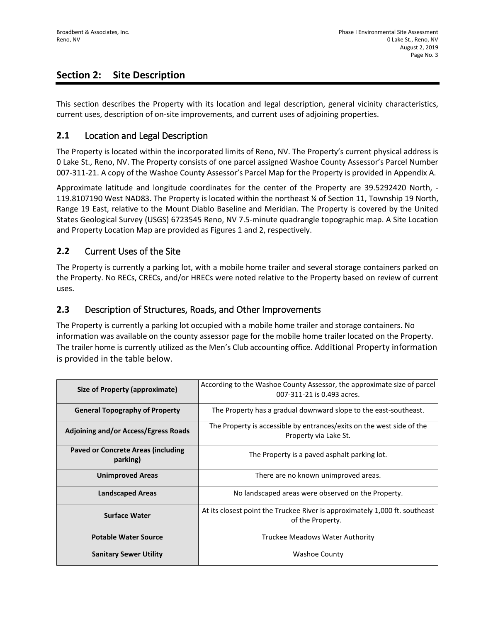## **Section 2: Site Description**

This section describes the Property with its location and legal description, general vicinity characteristics, current uses, description of on-site improvements, and current uses of adjoining properties.

#### **2.1** Location and Legal Description

The Property is located within the incorporated limits of Reno, NV. The Property's current physical address is 0 Lake St., Reno, NV. The Property consists of one parcel assigned Washoe County Assessor's Parcel Number 007-311-21. A copy of the Washoe County Assessor's Parcel Map for the Property is provided in Appendix A.

Approximate latitude and longitude coordinates for the center of the Property are 39.5292420 North, - 119.8107190 West NAD83. The Property is located within the northeast ¼ of Section 11, Township 19 North, Range 19 East, relative to the Mount Diablo Baseline and Meridian. The Property is covered by the United States Geological Survey (USGS) 6723545 Reno, NV 7.5-minute quadrangle topographic map. A Site Location and Property Location Map are provided as Figures 1 and 2, respectively.

#### **2.2** Current Uses of the Site

The Property is currently a parking lot, with a mobile home trailer and several storage containers parked on the Property. No RECs, CRECs, and/or HRECs were noted relative to the Property based on review of current uses.

#### **2.3** Description of Structures, Roads, and Other Improvements

The Property is currently a parking lot occupied with a mobile home trailer and storage containers. No information was available on the county assessor page for the mobile home trailer located on the Property. The trailer home is currently utilized as the Men's Club accounting office. Additional Property information is provided in the table below.

| Size of Property (approximate)                        | According to the Washoe County Assessor, the approximate size of parcel<br>007-311-21 is 0.493 acres. |
|-------------------------------------------------------|-------------------------------------------------------------------------------------------------------|
| <b>General Topography of Property</b>                 | The Property has a gradual downward slope to the east-southeast.                                      |
| <b>Adjoining and/or Access/Egress Roads</b>           | The Property is accessible by entrances/exits on the west side of the<br>Property via Lake St.        |
| <b>Paved or Concrete Areas (including</b><br>parking) | The Property is a paved asphalt parking lot.                                                          |
| <b>Unimproved Areas</b>                               | There are no known unimproved areas.                                                                  |
| <b>Landscaped Areas</b>                               | No landscaped areas were observed on the Property.                                                    |
| <b>Surface Water</b>                                  | At its closest point the Truckee River is approximately 1,000 ft. southeast<br>of the Property.       |
| <b>Potable Water Source</b>                           | Truckee Meadows Water Authority                                                                       |
| <b>Sanitary Sewer Utility</b>                         | <b>Washoe County</b>                                                                                  |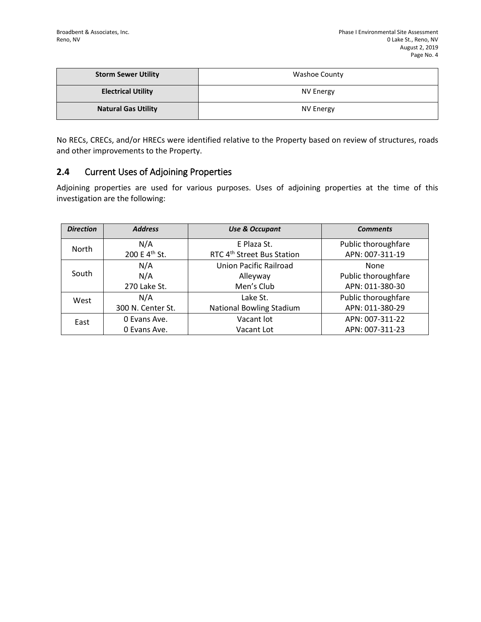| <b>Storm Sewer Utility</b> | Washoe County |
|----------------------------|---------------|
| <b>Electrical Utility</b>  | NV Energy     |
| <b>Natural Gas Utility</b> | NV Energy     |

No RECs, CRECs, and/or HRECs were identified relative to the Property based on review of structures, roads and other improvements to the Property.

## **2.4** Current Uses of Adjoining Properties

Adjoining properties are used for various purposes. Uses of adjoining properties at the time of this investigation are the following:

| <b>Direction</b> | <b>Address</b>            | <b>Use &amp; Occupant</b>              | <b>Comments</b>     |
|------------------|---------------------------|----------------------------------------|---------------------|
| <b>North</b>     | N/A                       | E Plaza St.                            | Public thoroughfare |
|                  | 200 E 4 <sup>th</sup> St. | RTC 4 <sup>th</sup> Street Bus Station | APN: 007-311-19     |
|                  | N/A                       | Union Pacific Railroad                 | None                |
| South            | N/A                       | Alleyway                               | Public thoroughfare |
|                  | 270 Lake St.              | Men's Club                             | APN: 011-380-30     |
| West             | N/A                       | Lake St.                               | Public thoroughfare |
|                  | 300 N. Center St.         | <b>National Bowling Stadium</b>        | APN: 011-380-29     |
| East             | 0 Evans Ave.              | Vacant lot                             | APN: 007-311-22     |
|                  | 0 Evans Ave.              | Vacant Lot                             | APN: 007-311-23     |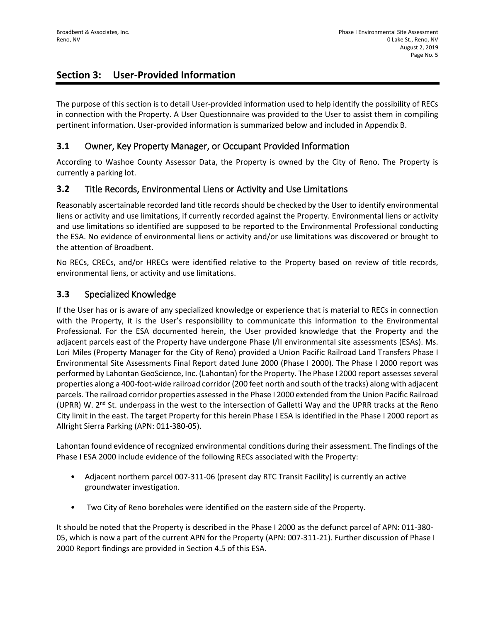# **Section 3: User-Provided Information**

The purpose of this section is to detail User-provided information used to help identify the possibility of RECs in connection with the Property. A User Questionnaire was provided to the User to assist them in compiling pertinent information. User-provided information is summarized below and included in Appendix B.

#### **3.1** Owner, Key Property Manager, or Occupant Provided Information

According to Washoe County Assessor Data, the Property is owned by the City of Reno. The Property is currently a parking lot.

#### **3.2** Title Records, Environmental Liens or Activity and Use Limitations

Reasonably ascertainable recorded land title records should be checked by the User to identify environmental liens or activity and use limitations, if currently recorded against the Property. Environmental liens or activity and use limitations so identified are supposed to be reported to the Environmental Professional conducting the ESA. No evidence of environmental liens or activity and/or use limitations was discovered or brought to the attention of Broadbent.

No RECs, CRECs, and/or HRECs were identified relative to the Property based on review of title records, environmental liens, or activity and use limitations.

#### **3.3** Specialized Knowledge

If the User has or is aware of any specialized knowledge or experience that is material to RECs in connection with the Property, it is the User's responsibility to communicate this information to the Environmental Professional. For the ESA documented herein, the User provided knowledge that the Property and the adjacent parcels east of the Property have undergone Phase I/II environmental site assessments (ESAs). Ms. Lori Miles (Property Manager for the City of Reno) provided a Union Pacific Railroad Land Transfers Phase I Environmental Site Assessments Final Report dated June 2000 (Phase I 2000). The Phase I 2000 report was performed by Lahontan GeoScience, Inc. (Lahontan) for the Property. The Phase I 2000 report assesses several properties along a 400-foot-wide railroad corridor (200 feet north and south of the tracks) along with adjacent parcels. The railroad corridor properties assessed in the Phase I 2000 extended from the Union Pacific Railroad (UPRR) W.  $2^{nd}$  St. underpass in the west to the intersection of Galletti Way and the UPRR tracks at the Reno City limit in the east. The target Property for this herein Phase I ESA is identified in the Phase I 2000 report as Allright Sierra Parking (APN: 011-380-05).

Lahontan found evidence of recognized environmental conditions during their assessment. The findings of the Phase I ESA 2000 include evidence of the following RECs associated with the Property:

- Adjacent northern parcel 007-311-06 (present day RTC Transit Facility) is currently an active groundwater investigation.
- Two City of Reno boreholes were identified on the eastern side of the Property.

It should be noted that the Property is described in the Phase I 2000 as the defunct parcel of APN: 011-380- 05, which is now a part of the current APN for the Property (APN: 007-311-21). Further discussion of Phase I 2000 Report findings are provided in Section 4.5 of this ESA.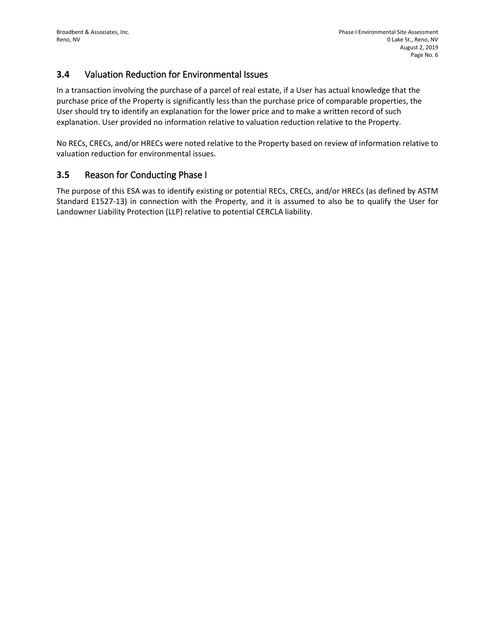## **3.4** Valuation Reduction for Environmental Issues

In a transaction involving the purchase of a parcel of real estate, if a User has actual knowledge that the purchase price of the Property is significantly less than the purchase price of comparable properties, the User should try to identify an explanation for the lower price and to make a written record of such explanation. User provided no information relative to valuation reduction relative to the Property.

No RECs, CRECs, and/or HRECs were noted relative to the Property based on review of information relative to valuation reduction for environmental issues.

#### **3.5** Reason for Conducting Phase I

The purpose of this ESA was to identify existing or potential RECs, CRECs, and/or HRECs (as defined by ASTM Standard E1527-13) in connection with the Property, and it is assumed to also be to qualify the User for Landowner Liability Protection (LLP) relative to potential CERCLA liability.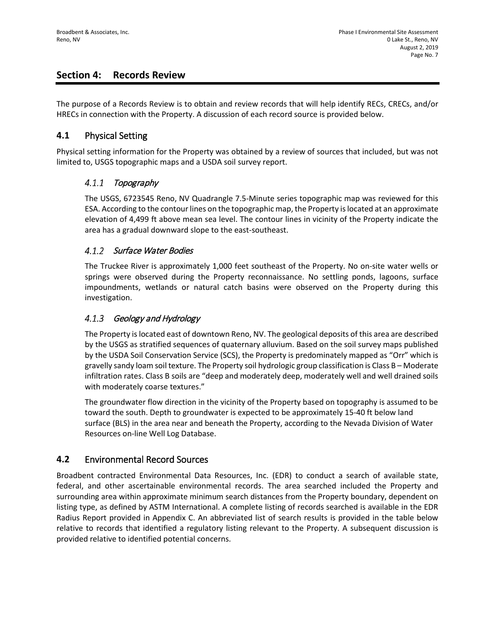## **Section 4: Records Review**

The purpose of a Records Review is to obtain and review records that will help identify RECs, CRECs, and/or HRECs in connection with the Property. A discussion of each record source is provided below.

#### **4.1** Physical Setting

Physical setting information for the Property was obtained by a review of sources that included, but was not limited to, USGS topographic maps and a USDA soil survey report.

#### $4.1.1$ Topography

The USGS, 6723545 Reno, NV Quadrangle 7.5-Minute series topographic map was reviewed for this ESA. According to the contour lines on the topographic map, the Property is located at an approximate elevation of 4,499 ft above mean sea level. The contour lines in vicinity of the Property indicate the area has a gradual downward slope to the east-southeast.

#### 4.1.2 Surface Water Bodies

The Truckee River is approximately 1,000 feet southeast of the Property. No on-site water wells or springs were observed during the Property reconnaissance. No settling ponds, lagoons, surface impoundments, wetlands or natural catch basins were observed on the Property during this investigation.

#### $4.1.3$ Geology and Hydrology

The Property is located east of downtown Reno, NV. The geological deposits of this area are described by the USGS as stratified sequences of quaternary alluvium. Based on the soil survey maps published by the USDA Soil Conservation Service (SCS), the Property is predominately mapped as "Orr" which is gravelly sandy loam soil texture. The Property soil hydrologic group classification is Class B – Moderate infiltration rates. Class B soils are "deep and moderately deep, moderately well and well drained soils with moderately coarse textures."

The groundwater flow direction in the vicinity of the Property based on topography is assumed to be toward the south. Depth to groundwater is expected to be approximately 15-40 ft below land surface (BLS) in the area near and beneath the Property, according to the Nevada Division of Water Resources on-line Well Log Database.

## **4.2** Environmental Record Sources

Broadbent contracted Environmental Data Resources, Inc. (EDR) to conduct a search of available state, federal, and other ascertainable environmental records. The area searched included the Property and surrounding area within approximate minimum search distances from the Property boundary, dependent on listing type, as defined by ASTM International. A complete listing of records searched is available in the EDR Radius Report provided in Appendix C. An abbreviated list of search results is provided in the table below relative to records that identified a regulatory listing relevant to the Property. A subsequent discussion is provided relative to identified potential concerns.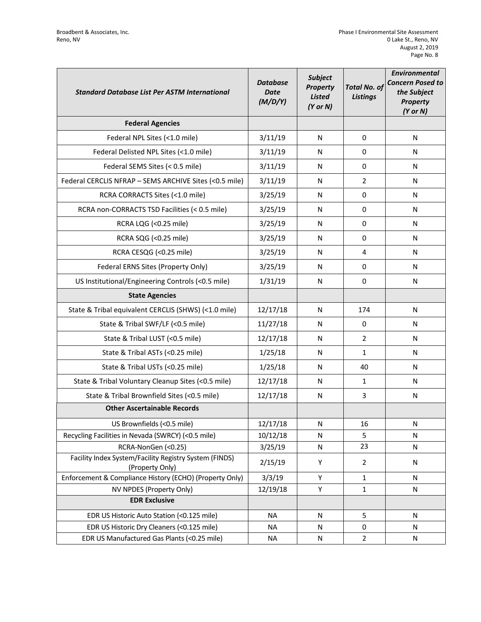| <b>Standard Database List Per ASTM International</b>                      | <b>Database</b><br><b>Date</b><br>(M/D/Y) | <b>Subject</b><br><b>Property</b><br><b>Listed</b><br>$(Y$ or $N)$ | <b>Total No. of</b><br><b>Listings</b> | <b>Environmental</b><br><b>Concern Posed to</b><br>the Subject<br><b>Property</b><br>$(Y$ or $N)$ |
|---------------------------------------------------------------------------|-------------------------------------------|--------------------------------------------------------------------|----------------------------------------|---------------------------------------------------------------------------------------------------|
| <b>Federal Agencies</b>                                                   |                                           |                                                                    |                                        |                                                                                                   |
| Federal NPL Sites (<1.0 mile)                                             | 3/11/19                                   | N                                                                  | 0                                      | N                                                                                                 |
| Federal Delisted NPL Sites (<1.0 mile)                                    | 3/11/19                                   | N                                                                  | 0                                      | N                                                                                                 |
| Federal SEMS Sites (< 0.5 mile)                                           | 3/11/19                                   | N                                                                  | 0                                      | N                                                                                                 |
| Federal CERCLIS NFRAP - SEMS ARCHIVE Sites (<0.5 mile)                    | 3/11/19                                   | N                                                                  | $\overline{2}$                         | N                                                                                                 |
| RCRA CORRACTS Sites (<1.0 mile)                                           | 3/25/19                                   | N                                                                  | 0                                      | N                                                                                                 |
| RCRA non-CORRACTS TSD Facilities (< 0.5 mile)                             | 3/25/19                                   | N                                                                  | 0                                      | N                                                                                                 |
| RCRA LQG (<0.25 mile)                                                     | 3/25/19                                   | N                                                                  | 0                                      | N                                                                                                 |
| RCRA SQG (<0.25 mile)                                                     | 3/25/19                                   | N                                                                  | 0                                      | N                                                                                                 |
| RCRA CESQG (<0.25 mile)                                                   | 3/25/19                                   | N                                                                  | 4                                      | N                                                                                                 |
| Federal ERNS Sites (Property Only)                                        | 3/25/19                                   | N                                                                  | $\Omega$                               | N                                                                                                 |
| US Institutional/Engineering Controls (<0.5 mile)                         | 1/31/19                                   | N                                                                  | 0                                      | N                                                                                                 |
| <b>State Agencies</b>                                                     |                                           |                                                                    |                                        |                                                                                                   |
| State & Tribal equivalent CERCLIS (SHWS) (<1.0 mile)                      | 12/17/18                                  | N                                                                  | 174                                    | N                                                                                                 |
| State & Tribal SWF/LF (<0.5 mile)                                         | 11/27/18                                  | N                                                                  | $\mathbf 0$                            | N                                                                                                 |
| State & Tribal LUST (<0.5 mile)                                           | 12/17/18                                  | N                                                                  | $\overline{2}$                         | N                                                                                                 |
| State & Tribal ASTs (<0.25 mile)                                          | 1/25/18                                   | N                                                                  | $\mathbf{1}$                           | N                                                                                                 |
| State & Tribal USTs (<0.25 mile)                                          | 1/25/18                                   | N                                                                  | 40                                     | N                                                                                                 |
| State & Tribal Voluntary Cleanup Sites (<0.5 mile)                        | 12/17/18                                  | N                                                                  | $\mathbf{1}$                           | N                                                                                                 |
| State & Tribal Brownfield Sites (<0.5 mile)                               | 12/17/18                                  | N                                                                  | 3                                      | N                                                                                                 |
| <b>Other Ascertainable Records</b>                                        |                                           |                                                                    |                                        |                                                                                                   |
| US Brownfields (<0.5 mile)                                                | 12/17/18                                  | N                                                                  | 16                                     | N                                                                                                 |
| Recycling Facilities in Nevada (SWRCY) (<0.5 mile)                        | 10/12/18                                  | N                                                                  | 5                                      | N                                                                                                 |
| RCRA-NonGen (<0.25)                                                       | 3/25/19                                   | ${\sf N}$                                                          | 23                                     | N                                                                                                 |
| Facility Index System/Facility Registry System (FINDS)<br>(Property Only) | 2/15/19                                   | Υ                                                                  | $\overline{2}$                         | N                                                                                                 |
| Enforcement & Compliance History (ECHO) (Property Only)                   | 3/3/19                                    | Υ                                                                  | 1                                      | N                                                                                                 |
| NV NPDES (Property Only)                                                  | 12/19/18                                  | Υ                                                                  | $\mathbf{1}$                           | ${\sf N}$                                                                                         |
| <b>EDR Exclusive</b>                                                      |                                           |                                                                    |                                        |                                                                                                   |
| EDR US Historic Auto Station (<0.125 mile)                                | <b>NA</b>                                 | ${\sf N}$                                                          | 5                                      | $\mathsf{N}$                                                                                      |
| EDR US Historic Dry Cleaners (<0.125 mile)                                | <b>NA</b>                                 | N                                                                  | 0                                      | N                                                                                                 |
| EDR US Manufactured Gas Plants (<0.25 mile)                               | <b>NA</b>                                 | ${\sf N}$                                                          | $\overline{2}$                         | N                                                                                                 |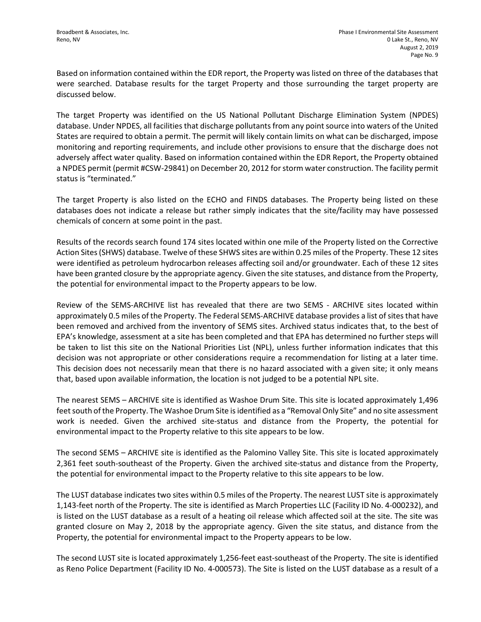Based on information contained within the EDR report, the Property was listed on three of the databases that were searched. Database results for the target Property and those surrounding the target property are discussed below.

The target Property was identified on the US National Pollutant Discharge Elimination System (NPDES) database. Under NPDES, all facilities that discharge pollutants from any point source into waters of the United States are required to obtain a permit. The permit will likely contain limits on what can be discharged, impose monitoring and reporting requirements, and include other provisions to ensure that the discharge does not adversely affect water quality. Based on information contained within the EDR Report, the Property obtained a NPDES permit (permit #CSW-29841) on December 20, 2012 for storm water construction. The facility permit status is "terminated."

The target Property is also listed on the ECHO and FINDS databases. The Property being listed on these databases does not indicate a release but rather simply indicates that the site/facility may have possessed chemicals of concern at some point in the past.

Results of the records search found 174 sites located within one mile of the Property listed on the Corrective Action Sites (SHWS) database. Twelve of these SHWS sites are within 0.25 miles of the Property. These 12 sites were identified as petroleum hydrocarbon releases affecting soil and/or groundwater. Each of these 12 sites have been granted closure by the appropriate agency. Given the site statuses, and distance from the Property, the potential for environmental impact to the Property appears to be low.

Review of the SEMS-ARCHIVE list has revealed that there are two SEMS - ARCHIVE sites located within approximately 0.5 miles of the Property. The Federal SEMS-ARCHIVE database provides a list of sites that have been removed and archived from the inventory of SEMS sites. Archived status indicates that, to the best of EPA's knowledge, assessment at a site has been completed and that EPA has determined no further steps will be taken to list this site on the National Priorities List (NPL), unless further information indicates that this decision was not appropriate or other considerations require a recommendation for listing at a later time. This decision does not necessarily mean that there is no hazard associated with a given site; it only means that, based upon available information, the location is not judged to be a potential NPL site.

The nearest SEMS – ARCHIVE site is identified as Washoe Drum Site. This site is located approximately 1,496 feet south of the Property. The Washoe Drum Site is identified as a "Removal Only Site" and no site assessment work is needed. Given the archived site-status and distance from the Property, the potential for environmental impact to the Property relative to this site appears to be low.

The second SEMS – ARCHIVE site is identified as the Palomino Valley Site. This site is located approximately 2,361 feet south-southeast of the Property. Given the archived site-status and distance from the Property, the potential for environmental impact to the Property relative to this site appears to be low.

The LUST database indicates two sites within 0.5 miles of the Property. The nearest LUST site is approximately 1,143-feet north of the Property. The site is identified as March Properties LLC (Facility ID No. 4-000232), and is listed on the LUST database as a result of a heating oil release which affected soil at the site. The site was granted closure on May 2, 2018 by the appropriate agency. Given the site status, and distance from the Property, the potential for environmental impact to the Property appears to be low.

The second LUST site is located approximately 1,256-feet east-southeast of the Property. The site is identified as Reno Police Department (Facility ID No. 4-000573). The Site is listed on the LUST database as a result of a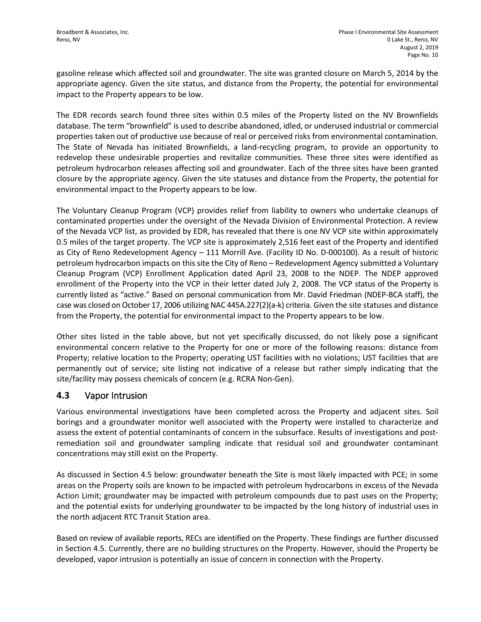gasoline release which affected soil and groundwater. The site was granted closure on March 5, 2014 by the appropriate agency. Given the site status, and distance from the Property, the potential for environmental impact to the Property appears to be low.

The EDR records search found three sites within 0.5 miles of the Property listed on the NV Brownfields database. The term "brownfield" is used to describe abandoned, idled, or underused industrial or commercial properties taken out of productive use because of real or perceived risks from environmental contamination. The State of Nevada has initiated Brownfields, a land-recycling program, to provide an opportunity to redevelop these undesirable properties and revitalize communities. These three sites were identified as petroleum hydrocarbon releases affecting soil and groundwater. Each of the three sites have been granted closure by the appropriate agency. Given the site statuses and distance from the Property, the potential for environmental impact to the Property appears to be low.

The Voluntary Cleanup Program (VCP) provides relief from liability to owners who undertake cleanups of contaminated properties under the oversight of the Nevada Division of Environmental Protection. A review of the Nevada VCP list, as provided by EDR, has revealed that there is one NV VCP site within approximately 0.5 miles of the target property. The VCP site is approximately 2,516 feet east of the Property and identified as City of Reno Redevelopment Agency – 111 Morrill Ave. (Facility ID No. D-000100). As a result of historic petroleum hydrocarbon impacts on this site the City of Reno – Redevelopment Agency submitted a Voluntary Cleanup Program (VCP) Enrollment Application dated April 23, 2008 to the NDEP. The NDEP approved enrollment of the Property into the VCP in their letter dated July 2, 2008. The VCP status of the Property is currently listed as "active." Based on personal communication from Mr. David Friedman (NDEP-BCA staff), the case was closed on October 17, 2006 utilizing NAC 445A.227(2)(a-k) criteria. Given the site statuses and distance from the Property, the potential for environmental impact to the Property appears to be low.

Other sites listed in the table above, but not yet specifically discussed, do not likely pose a significant environmental concern relative to the Property for one or more of the following reasons: distance from Property; relative location to the Property; operating UST facilities with no violations; UST facilities that are permanently out of service; site listing not indicative of a release but rather simply indicating that the site/facility may possess chemicals of concern (e.g. RCRA Non-Gen).

#### **4.3** Vapor Intrusion

Various environmental investigations have been completed across the Property and adjacent sites. Soil borings and a groundwater monitor well associated with the Property were installed to characterize and assess the extent of potential contaminants of concern in the subsurface. Results of investigations and postremediation soil and groundwater sampling indicate that residual soil and groundwater contaminant concentrations may still exist on the Property.

As discussed in Section 4.5 below: groundwater beneath the Site is most likely impacted with PCE; in some areas on the Property soils are known to be impacted with petroleum hydrocarbons in excess of the Nevada Action Limit; groundwater may be impacted with petroleum compounds due to past uses on the Property; and the potential exists for underlying groundwater to be impacted by the long history of industrial uses in the north adjacent RTC Transit Station area.

Based on review of available reports, RECs are identified on the Property. These findings are further discussed in Section 4.5. Currently, there are no building structures on the Property. However, should the Property be developed, vapor intrusion is potentially an issue of concern in connection with the Property.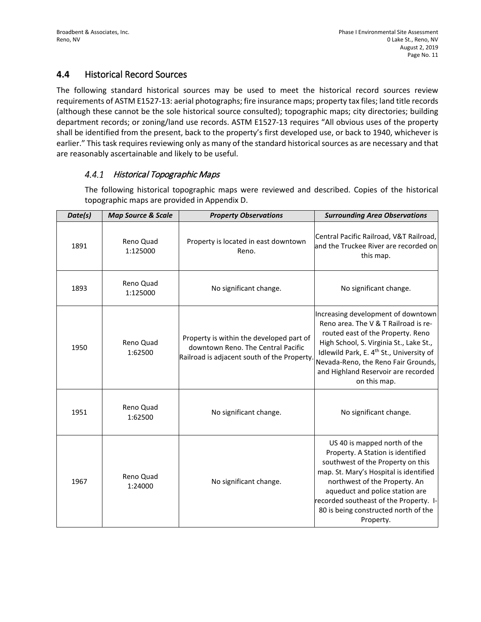## **4.4** Historical Record Sources

The following standard historical sources may be used to meet the historical record sources review requirements of ASTM E1527-13: aerial photographs; fire insurance maps; property tax files; land title records (although these cannot be the sole historical source consulted); topographic maps; city directories; building department records; or zoning/land use records. ASTM E1527-13 requires "All obvious uses of the property shall be identified from the present, back to the property's first developed use, or back to 1940, whichever is earlier." This task requires reviewing only as many of the standard historical sources as are necessary and that are reasonably ascertainable and likely to be useful.

#### 4.4.1 Historical Topographic Maps

The following historical topographic maps were reviewed and described. Copies of the historical topographic maps are provided in Appendix D.

| Date(s) | <b>Map Source &amp; Scale</b> | <b>Property Observations</b>                                                                                                  | <b>Surrounding Area Observations</b>                                                                                                                                                                                                                                                                               |
|---------|-------------------------------|-------------------------------------------------------------------------------------------------------------------------------|--------------------------------------------------------------------------------------------------------------------------------------------------------------------------------------------------------------------------------------------------------------------------------------------------------------------|
| 1891    | Reno Quad<br>1:125000         | Property is located in east downtown<br>Reno.                                                                                 | Central Pacific Railroad, V&T Railroad,<br>and the Truckee River are recorded on<br>this map.                                                                                                                                                                                                                      |
| 1893    | Reno Quad<br>1:125000         | No significant change.                                                                                                        | No significant change.                                                                                                                                                                                                                                                                                             |
| 1950    | Reno Quad<br>1:62500          | Property is within the developed part of<br>downtown Reno. The Central Pacific<br>Railroad is adjacent south of the Property. | Increasing development of downtown<br>Reno area. The V & T Railroad is re-<br>routed east of the Property. Reno<br>High School, S. Virginia St., Lake St.,<br>Idlewild Park, E. 4 <sup>th</sup> St., University of<br>Nevada-Reno, the Reno Fair Grounds,<br>and Highland Reservoir are recorded<br>on this map.   |
| 1951    | Reno Quad<br>1:62500          | No significant change.                                                                                                        | No significant change.                                                                                                                                                                                                                                                                                             |
| 1967    | Reno Quad<br>1:24000          | No significant change.                                                                                                        | US40 is mapped north of the<br>Property. A Station is identified<br>southwest of the Property on this<br>map. St. Mary's Hospital is identified<br>northwest of the Property. An<br>aqueduct and police station are<br>recorded southeast of the Property. I-<br>80 is being constructed north of the<br>Property. |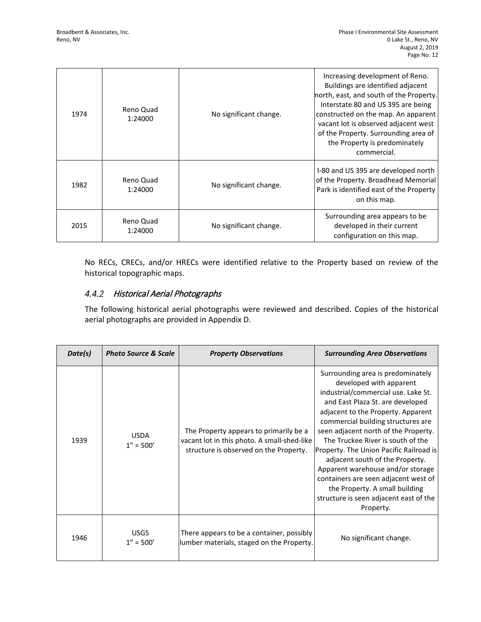| 1974 | Reno Quad<br>1:24000 | No significant change. | Increasing development of Reno.<br>Buildings are identified adjacent<br>north, east, and south of the Property.<br>Interstate 80 and US 395 are being<br>constructed on the map. An apparent<br>vacant lot is observed adjacent west<br>of the Property. Surrounding area of<br>the Property is predominately<br>commercial. |
|------|----------------------|------------------------|------------------------------------------------------------------------------------------------------------------------------------------------------------------------------------------------------------------------------------------------------------------------------------------------------------------------------|
| 1982 | Reno Quad<br>1:24000 | No significant change. | I-80 and US 395 are developed north<br>of the Property. Broadhead Memorial<br>Park is identified east of the Property<br>on this map.                                                                                                                                                                                        |
| 2015 | Reno Quad<br>1:24000 | No significant change. | Surrounding area appears to be<br>developed in their current<br>configuration on this map.                                                                                                                                                                                                                                   |

No RECs, CRECs, and/or HRECs were identified relative to the Property based on review of the historical topographic maps.

## 4.4.2 Historical Aerial Photographs

The following historical aerial photographs were reviewed and described. Copies of the historical aerial photographs are provided in Appendix D.

| Date(s) | <b>Photo Source &amp; Scale</b> | <b>Property Observations</b>                                                                                                    | <b>Surrounding Area Observations</b>                                                                                                                                                                                                                                                                                                                                                                                                                                                                                                                 |
|---------|---------------------------------|---------------------------------------------------------------------------------------------------------------------------------|------------------------------------------------------------------------------------------------------------------------------------------------------------------------------------------------------------------------------------------------------------------------------------------------------------------------------------------------------------------------------------------------------------------------------------------------------------------------------------------------------------------------------------------------------|
| 1939    | <b>USDA</b><br>$1'' = 500'$     | The Property appears to primarily be a<br>vacant lot in this photo. A small-shed-like<br>structure is observed on the Property. | Surrounding area is predominately<br>developed with apparent<br>industrial/commercial use. Lake St.<br>and East Plaza St. are developed<br>adjacent to the Property. Apparent<br>commercial building structures are<br>seen adjacent north of the Property.<br>The Truckee River is south of the<br>Property. The Union Pacific Railroad is<br>adjacent south of the Property.<br>Apparent warehouse and/or storage<br>containers are seen adjacent west of<br>the Property. A small building<br>structure is seen adjacent east of the<br>Property. |
| 1946    | <b>USGS</b><br>$1'' = 500'$     | There appears to be a container, possibly<br>lumber materials, staged on the Property.                                          | No significant change.                                                                                                                                                                                                                                                                                                                                                                                                                                                                                                                               |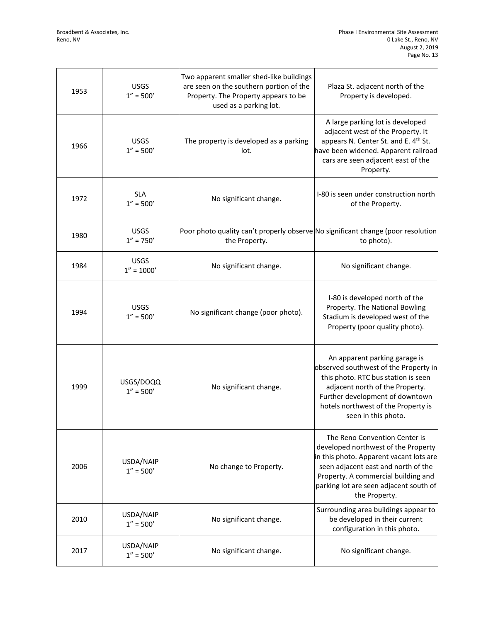| 1953 | <b>USGS</b><br>$1'' = 500'$  | Two apparent smaller shed-like buildings<br>are seen on the southern portion of the<br>Property. The Property appears to be<br>used as a parking lot. | Plaza St. adjacent north of the<br>Property is developed.                                                                                                                                                                                                |
|------|------------------------------|-------------------------------------------------------------------------------------------------------------------------------------------------------|----------------------------------------------------------------------------------------------------------------------------------------------------------------------------------------------------------------------------------------------------------|
| 1966 | <b>USGS</b><br>$1'' = 500'$  | The property is developed as a parking<br>lot.                                                                                                        | A large parking lot is developed<br>adjacent west of the Property. It<br>appears N. Center St. and E. 4th St.<br>have been widened. Apparent railroad<br>cars are seen adjacent east of the<br>Property.                                                 |
| 1972 | <b>SLA</b><br>$1'' = 500'$   | No significant change.                                                                                                                                | I-80 is seen under construction north<br>of the Property.                                                                                                                                                                                                |
| 1980 | <b>USGS</b><br>$1'' = 750'$  | Poor photo quality can't properly observe No significant change (poor resolution<br>the Property.                                                     | to photo).                                                                                                                                                                                                                                               |
| 1984 | <b>USGS</b><br>$1'' = 1000'$ | No significant change.                                                                                                                                | No significant change.                                                                                                                                                                                                                                   |
| 1994 | <b>USGS</b><br>$1'' = 500'$  | No significant change (poor photo).                                                                                                                   | I-80 is developed north of the<br>Property. The National Bowling<br>Stadium is developed west of the<br>Property (poor quality photo).                                                                                                                   |
| 1999 | USGS/DOQQ<br>$1'' = 500'$    | No significant change.                                                                                                                                | An apparent parking garage is<br>observed southwest of the Property in<br>this photo. RTC bus station is seen<br>adjacent north of the Property.<br>Further development of downtown<br>hotels northwest of the Property is<br>seen in this photo.        |
| 2006 | USDA/NAIP<br>$1'' = 500'$    | No change to Property.                                                                                                                                | The Reno Convention Center is<br>developed northwest of the Property<br>in this photo. Apparent vacant lots are<br>seen adjacent east and north of the<br>Property. A commercial building and<br>parking lot are seen adjacent south of<br>the Property. |
| 2010 | USDA/NAIP<br>$1'' = 500'$    | No significant change.                                                                                                                                | Surrounding area buildings appear to<br>be developed in their current<br>configuration in this photo.                                                                                                                                                    |
| 2017 | USDA/NAIP<br>$1'' = 500'$    | No significant change.                                                                                                                                | No significant change.                                                                                                                                                                                                                                   |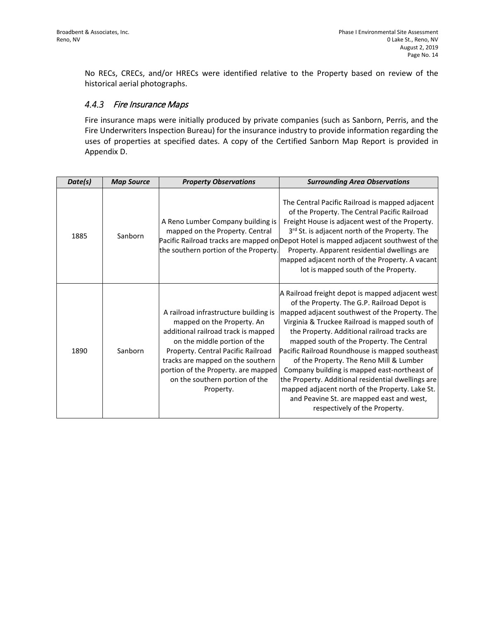No RECs, CRECs, and/or HRECs were identified relative to the Property based on review of the historical aerial photographs.

#### $4.4.3$ Fire Insurance Maps

Fire insurance maps were initially produced by private companies (such as Sanborn, Perris, and the Fire Underwriters Inspection Bureau) for the insurance industry to provide information regarding the uses of properties at specified dates. A copy of the Certified Sanborn Map Report is provided in Appendix D.

| Date(s) | <b>Map Source</b> | <b>Property Observations</b>                                                                                                                                                                                                                                                                                | <b>Surrounding Area Observations</b>                                                                                                                                                                                                                                                                                                                                                                                                                                                                                                                                                                                                  |
|---------|-------------------|-------------------------------------------------------------------------------------------------------------------------------------------------------------------------------------------------------------------------------------------------------------------------------------------------------------|---------------------------------------------------------------------------------------------------------------------------------------------------------------------------------------------------------------------------------------------------------------------------------------------------------------------------------------------------------------------------------------------------------------------------------------------------------------------------------------------------------------------------------------------------------------------------------------------------------------------------------------|
| 1885    | Sanborn           | A Reno Lumber Company building is<br>mapped on the Property. Central<br>the southern portion of the Property.                                                                                                                                                                                               | The Central Pacific Railroad is mapped adjacent<br>of the Property. The Central Pacific Railroad<br>Freight House is adjacent west of the Property.<br>3 <sup>rd</sup> St. is adjacent north of the Property. The<br>Pacific Railroad tracks are mapped on Depot Hotel is mapped adjacent southwest of the<br>Property. Apparent residential dwellings are<br>mapped adjacent north of the Property. A vacant<br>lot is mapped south of the Property.                                                                                                                                                                                 |
| 1890    | Sanborn           | A railroad infrastructure building is<br>mapped on the Property. An<br>additional railroad track is mapped<br>on the middle portion of the<br>Property. Central Pacific Railroad<br>tracks are mapped on the southern<br>portion of the Property. are mapped<br>on the southern portion of the<br>Property. | A Railroad freight depot is mapped adjacent west<br>of the Property. The G.P. Railroad Depot is<br>mapped adjacent southwest of the Property. The<br>Virginia & Truckee Railroad is mapped south of<br>the Property. Additional railroad tracks are<br>mapped south of the Property. The Central<br>Pacific Railroad Roundhouse is mapped southeast<br>of the Property. The Reno Mill & Lumber<br>Company building is mapped east-northeast of<br>the Property. Additional residential dwellings are<br>mapped adjacent north of the Property. Lake St.<br>and Peavine St. are mapped east and west,<br>respectively of the Property. |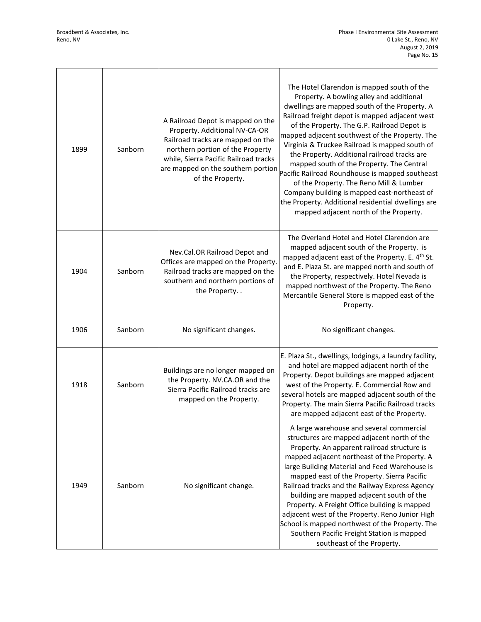$\sqrt{ }$ 

| 1899 | Sanborn | A Railroad Depot is mapped on the<br>Property. Additional NV-CA-OR<br>Railroad tracks are mapped on the<br>northern portion of the Property<br>while, Sierra Pacific Railroad tracks<br>are mapped on the southern portion<br>of the Property. | The Hotel Clarendon is mapped south of the<br>Property. A bowling alley and additional<br>dwellings are mapped south of the Property. A<br>Railroad freight depot is mapped adjacent west<br>of the Property. The G.P. Railroad Depot is<br>mapped adjacent southwest of the Property. The<br>Virginia & Truckee Railroad is mapped south of<br>the Property. Additional railroad tracks are<br>mapped south of the Property. The Central<br>Pacific Railroad Roundhouse is mapped southeast<br>of the Property. The Reno Mill & Lumber<br>Company building is mapped east-northeast of<br>the Property. Additional residential dwellings are<br>mapped adjacent north of the Property. |
|------|---------|------------------------------------------------------------------------------------------------------------------------------------------------------------------------------------------------------------------------------------------------|-----------------------------------------------------------------------------------------------------------------------------------------------------------------------------------------------------------------------------------------------------------------------------------------------------------------------------------------------------------------------------------------------------------------------------------------------------------------------------------------------------------------------------------------------------------------------------------------------------------------------------------------------------------------------------------------|
| 1904 | Sanborn | Nev.Cal.OR Railroad Depot and<br>Offices are mapped on the Property.<br>Railroad tracks are mapped on the<br>southern and northern portions of<br>the Property                                                                                 | The Overland Hotel and Hotel Clarendon are<br>mapped adjacent south of the Property. is<br>mapped adjacent east of the Property. E. 4 <sup>th</sup> St.<br>and E. Plaza St. are mapped north and south of<br>the Property, respectively. Hotel Nevada is<br>mapped northwest of the Property. The Reno<br>Mercantile General Store is mapped east of the<br>Property.                                                                                                                                                                                                                                                                                                                   |
| 1906 | Sanborn | No significant changes.                                                                                                                                                                                                                        | No significant changes.                                                                                                                                                                                                                                                                                                                                                                                                                                                                                                                                                                                                                                                                 |
| 1918 | Sanborn | Buildings are no longer mapped on<br>the Property. NV.CA.OR and the<br>Sierra Pacific Railroad tracks are<br>mapped on the Property.                                                                                                           | E. Plaza St., dwellings, lodgings, a laundry facility,<br>and hotel are mapped adjacent north of the<br>Property. Depot buildings are mapped adjacent<br>west of the Property. E. Commercial Row and<br>several hotels are mapped adjacent south of the<br>Property. The main Sierra Pacific Railroad tracks<br>are mapped adjacent east of the Property.                                                                                                                                                                                                                                                                                                                               |
| 1949 | Sanborn | No significant change.                                                                                                                                                                                                                         | A large warehouse and several commercial<br>structures are mapped adjacent north of the<br>Property. An apparent railroad structure is<br>mapped adjacent northeast of the Property. A<br>large Building Material and Feed Warehouse is<br>mapped east of the Property. Sierra Pacific<br>Railroad tracks and the Railway Express Agency<br>building are mapped adjacent south of the<br>Property. A Freight Office building is mapped<br>adjacent west of the Property. Reno Junior High<br>School is mapped northwest of the Property. The<br>Southern Pacific Freight Station is mapped<br>southeast of the Property.                                                                |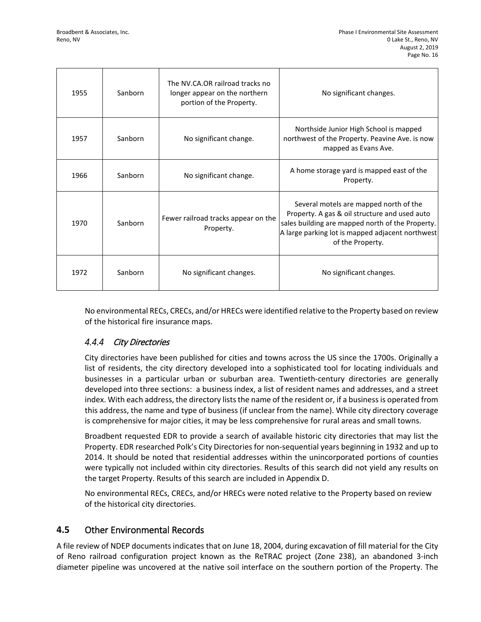| 1955 | Sanborn | The NV.CA.OR railroad tracks no<br>longer appear on the northern<br>portion of the Property. | No significant changes.                                                                                                                                                                                             |
|------|---------|----------------------------------------------------------------------------------------------|---------------------------------------------------------------------------------------------------------------------------------------------------------------------------------------------------------------------|
| 1957 | Sanborn | No significant change.                                                                       | Northside Junior High School is mapped<br>northwest of the Property. Peavine Ave. is now<br>mapped as Evans Ave.                                                                                                    |
| 1966 | Sanborn | No significant change.                                                                       | A home storage yard is mapped east of the<br>Property.                                                                                                                                                              |
| 1970 | Sanborn | Fewer railroad tracks appear on the<br>Property.                                             | Several motels are mapped north of the<br>Property. A gas & oil structure and used auto<br>sales building are mapped north of the Property.<br>A large parking lot is mapped adjacent northwest<br>of the Property. |
| 1972 | Sanborn | No significant changes.                                                                      | No significant changes.                                                                                                                                                                                             |

No environmental RECs, CRECs, and/or HRECs were identified relative to the Property based on review of the historical fire insurance maps.

## 4.4.4 City Directories

City directories have been published for cities and towns across the US since the 1700s. Originally a list of residents, the city directory developed into a sophisticated tool for locating individuals and businesses in a particular urban or suburban area. Twentieth-century directories are generally developed into three sections: a business index, a list of resident names and addresses, and a street index. With each address, the directory lists the name of the resident or, if a business is operated from this address, the name and type of business (if unclear from the name). While city directory coverage is comprehensive for major cities, it may be less comprehensive for rural areas and small towns.

Broadbent requested EDR to provide a search of available historic city directories that may list the Property. EDR researched Polk's City Directories for non-sequential years beginning in 1932 and up to 2014. It should be noted that residential addresses within the unincorporated portions of counties were typically not included within city directories. Results of this search did not yield any results on the target Property. Results of this search are included in Appendix D.

No environmental RECs, CRECs, and/or HRECs were noted relative to the Property based on review of the historical city directories.

## **4.5** Other Environmental Records

A file review of NDEP documents indicates that on June 18, 2004, during excavation of fill material for the City of Reno railroad configuration project known as the ReTRAC project (Zone 238), an abandoned 3-inch diameter pipeline was uncovered at the native soil interface on the southern portion of the Property. The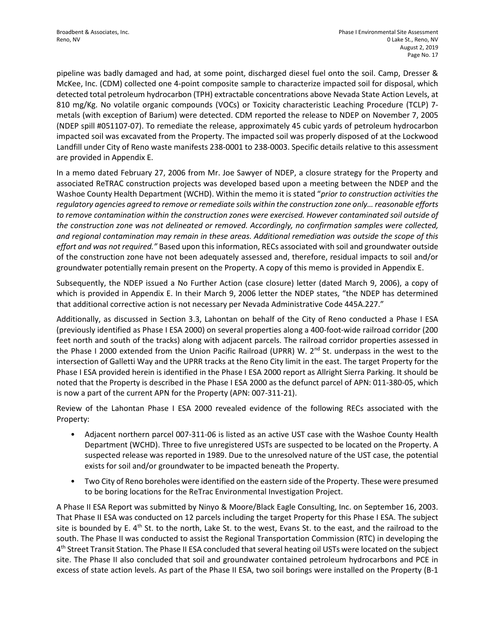pipeline was badly damaged and had, at some point, discharged diesel fuel onto the soil. Camp, Dresser & McKee, Inc. (CDM) collected one 4-point composite sample to characterize impacted soil for disposal, which detected total petroleum hydrocarbon (TPH) extractable concentrations above Nevada State Action Levels, at 810 mg/Kg. No volatile organic compounds (VOCs) or Toxicity characteristic Leaching Procedure (TCLP) 7 metals (with exception of Barium) were detected. CDM reported the release to NDEP on November 7, 2005 (NDEP spill #051107-07). To remediate the release, approximately 45 cubic yards of petroleum hydrocarbon impacted soil was excavated from the Property. The impacted soil was properly disposed of at the Lockwood Landfill under City of Reno waste manifests 238-0001 to 238-0003. Specific details relative to this assessment are provided in Appendix E.

In a memo dated February 27, 2006 from Mr. Joe Sawyer of NDEP, a closure strategy for the Property and associated ReTRAC construction projects was developed based upon a meeting between the NDEP and the Washoe County Health Department (WCHD). Within the memo it is stated "*prior to construction activities the regulatory agencies agreed to remove or remediate soils within the construction zone only… reasonable efforts to remove contamination within the construction zones were exercised. However contaminated soil outside of the construction zone was not delineated or removed. Accordingly, no confirmation samples were collected, and regional contamination may remain in these areas. Additional remediation was outside the scope of this effort and was not required."* Based upon this information, RECs associated with soil and groundwater outside of the construction zone have not been adequately assessed and, therefore, residual impacts to soil and/or groundwater potentially remain present on the Property. A copy of this memo is provided in Appendix E.

Subsequently, the NDEP issued a No Further Action (case closure) letter (dated March 9, 2006), a copy of which is provided in Appendix E. In their March 9, 2006 letter the NDEP states, "the NDEP has determined that additional corrective action is not necessary per Nevada Administrative Code 445A.227."

Additionally, as discussed in Section 3.3, Lahontan on behalf of the City of Reno conducted a Phase I ESA (previously identified as Phase I ESA 2000) on several properties along a 400-foot-wide railroad corridor (200 feet north and south of the tracks) along with adjacent parcels. The railroad corridor properties assessed in the Phase I 2000 extended from the Union Pacific Railroad (UPRR) W.  $2^{nd}$  St. underpass in the west to the intersection of Galletti Way and the UPRR tracks at the Reno City limit in the east. The target Property for the Phase I ESA provided herein is identified in the Phase I ESA 2000 report as Allright Sierra Parking. It should be noted that the Property is described in the Phase I ESA 2000 as the defunct parcel of APN: 011-380-05, which is now a part of the current APN for the Property (APN: 007-311-21).

Review of the Lahontan Phase I ESA 2000 revealed evidence of the following RECs associated with the Property:

- Adjacent northern parcel 007-311-06 is listed as an active UST case with the Washoe County Health Department (WCHD). Three to five unregistered USTs are suspected to be located on the Property. A suspected release was reported in 1989. Due to the unresolved nature of the UST case, the potential exists for soil and/or groundwater to be impacted beneath the Property.
- Two City of Reno boreholes were identified on the eastern side of the Property. These were presumed to be boring locations for the ReTrac Environmental Investigation Project.

A Phase II ESA Report was submitted by Ninyo & Moore/Black Eagle Consulting, Inc. on September 16, 2003. That Phase II ESA was conducted on 12 parcels including the target Property for this Phase I ESA. The subject site is bounded by E. 4<sup>th</sup> St. to the north, Lake St. to the west, Evans St. to the east, and the railroad to the south. The Phase II was conducted to assist the Regional Transportation Commission (RTC) in developing the 4th Street Transit Station. The Phase II ESA concluded that several heating oil USTs were located on the subject site. The Phase II also concluded that soil and groundwater contained petroleum hydrocarbons and PCE in excess of state action levels. As part of the Phase II ESA, two soil borings were installed on the Property (B-1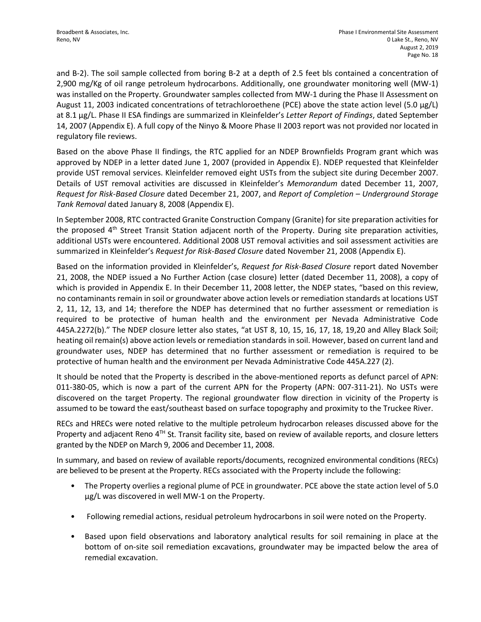and B-2). The soil sample collected from boring B-2 at a depth of 2.5 feet bls contained a concentration of 2,900 mg/Kg of oil range petroleum hydrocarbons. Additionally, one groundwater monitoring well (MW-1) was installed on the Property. Groundwater samples collected from MW-1 during the Phase II Assessment on August 11, 2003 indicated concentrations of tetrachloroethene (PCE) above the state action level (5.0 µg/L) at 8.1 µg/L. Phase II ESA findings are summarized in Kleinfelder's *Letter Report of Findings*, dated September 14, 2007 (Appendix E). A full copy of the Ninyo & Moore Phase II 2003 report was not provided nor located in regulatory file reviews.

Based on the above Phase II findings, the RTC applied for an NDEP Brownfields Program grant which was approved by NDEP in a letter dated June 1, 2007 (provided in Appendix E). NDEP requested that Kleinfelder provide UST removal services. Kleinfelder removed eight USTs from the subject site during December 2007. Details of UST removal activities are discussed in Kleinfelder's *Memorandum* dated December 11, 2007, *Request for Risk-Based Closure* dated December 21, 2007, and *Report of Completion – Underground Storage Tank Removal* dated January 8, 2008 (Appendix E).

In September 2008, RTC contracted Granite Construction Company (Granite) for site preparation activities for the proposed 4<sup>th</sup> Street Transit Station adjacent north of the Property. During site preparation activities, additional USTs were encountered. Additional 2008 UST removal activities and soil assessment activities are summarized in Kleinfelder's *Request for Risk-Based Closure* dated November 21, 2008 (Appendix E).

Based on the information provided in Kleinfelder's, *Request for Risk-Based Closure* report dated November 21, 2008, the NDEP issued a No Further Action (case closure) letter (dated December 11, 2008), a copy of which is provided in Appendix E. In their December 11, 2008 letter, the NDEP states, "based on this review, no contaminants remain in soil or groundwater above action levels or remediation standards at locations UST 2, 11, 12, 13, and 14; therefore the NDEP has determined that no further assessment or remediation is required to be protective of human health and the environment per Nevada Administrative Code 445A.2272(b)." The NDEP closure letter also states, "at UST 8, 10, 15, 16, 17, 18, 19,20 and Alley Black Soil; heating oil remain(s) above action levels or remediation standards in soil. However, based on current land and groundwater uses, NDEP has determined that no further assessment or remediation is required to be protective of human health and the environment per Nevada Administrative Code 445A.227 (2).

It should be noted that the Property is described in the above-mentioned reports as defunct parcel of APN: 011-380-05, which is now a part of the current APN for the Property (APN: 007-311-21). No USTs were discovered on the target Property. The regional groundwater flow direction in vicinity of the Property is assumed to be toward the east/southeast based on surface topography and proximity to the Truckee River.

RECs and HRECs were noted relative to the multiple petroleum hydrocarbon releases discussed above for the Property and adjacent Reno  $4^{TH}$  St. Transit facility site, based on review of available reports, and closure letters granted by the NDEP on March 9, 2006 and December 11, 2008.

In summary, and based on review of available reports/documents, recognized environmental conditions (RECs) are believed to be present at the Property. RECs associated with the Property include the following:

- The Property overlies a regional plume of PCE in groundwater. PCE above the state action level of 5.0 µg/L was discovered in well MW-1 on the Property.
- Following remedial actions, residual petroleum hydrocarbons in soil were noted on the Property.
- Based upon field observations and laboratory analytical results for soil remaining in place at the bottom of on-site soil remediation excavations, groundwater may be impacted below the area of remedial excavation.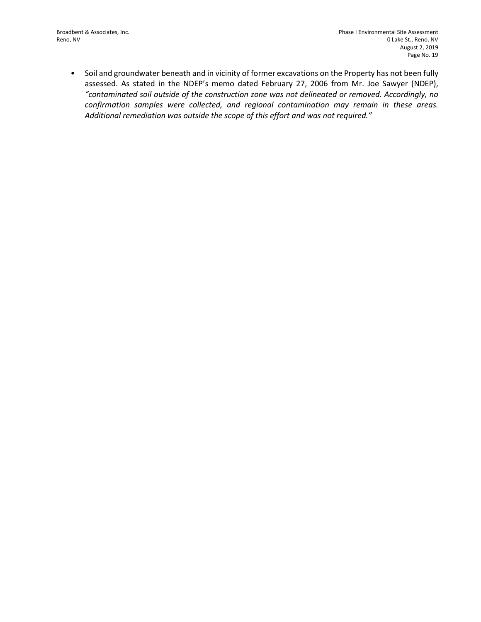• Soil and groundwater beneath and in vicinity of former excavations on the Property has not been fully assessed. As stated in the NDEP's memo dated February 27, 2006 from Mr. Joe Sawyer (NDEP), *"contaminated soil outside of the construction zone was not delineated or removed. Accordingly, no confirmation samples were collected, and regional contamination may remain in these areas. Additional remediation was outside the scope of this effort and was not required."*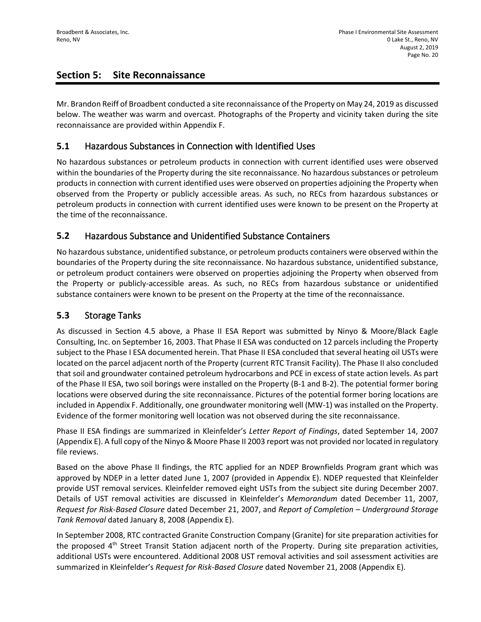## **Section 5: Site Reconnaissance**

Mr. Brandon Reiff of Broadbent conducted a site reconnaissance of the Property on May 24, 2019 as discussed below. The weather was warm and overcast. Photographs of the Property and vicinity taken during the site reconnaissance are provided within Appendix F.

## **5.1** Hazardous Substances in Connection with Identified Uses

No hazardous substances or petroleum products in connection with current identified uses were observed within the boundaries of the Property during the site reconnaissance. No hazardous substances or petroleum products in connection with current identified uses were observed on properties adjoining the Property when observed from the Property or publicly accessible areas. As such, no RECs from hazardous substances or petroleum products in connection with current identified uses were known to be present on the Property at the time of the reconnaissance.

## **5.2** Hazardous Substance and Unidentified Substance Containers

No hazardous substance, unidentified substance, or petroleum products containers were observed within the boundaries of the Property during the site reconnaissance. No hazardous substance, unidentified substance, or petroleum product containers were observed on properties adjoining the Property when observed from the Property or publicly-accessible areas. As such, no RECs from hazardous substance or unidentified substance containers were known to be present on the Property at the time of the reconnaissance.

## **5.3** Storage Tanks

As discussed in Section 4.5 above, a Phase II ESA Report was submitted by Ninyo & Moore/Black Eagle Consulting, Inc. on September 16, 2003. That Phase II ESA was conducted on 12 parcels including the Property subject to the Phase I ESA documented herein. That Phase II ESA concluded that several heating oil USTs were located on the parcel adjacent north of the Property (current RTC Transit Facility). The Phase II also concluded that soil and groundwater contained petroleum hydrocarbons and PCE in excess of state action levels. As part of the Phase II ESA, two soil borings were installed on the Property (B-1 and B-2). The potential former boring locations were observed during the site reconnaissance. Pictures of the potential former boring locations are included in Appendix F. Additionally, one groundwater monitoring well (MW-1) was installed on the Property. Evidence of the former monitoring well location was not observed during the site reconnaissance.

Phase II ESA findings are summarized in Kleinfelder's *Letter Report of Findings*, dated September 14, 2007 (Appendix E). A full copy of the Ninyo & Moore Phase II 2003 report was not provided nor located in regulatory file reviews.

Based on the above Phase II findings, the RTC applied for an NDEP Brownfields Program grant which was approved by NDEP in a letter dated June 1, 2007 (provided in Appendix E). NDEP requested that Kleinfelder provide UST removal services. Kleinfelder removed eight USTs from the subject site during December 2007. Details of UST removal activities are discussed in Kleinfelder's *Memorandum* dated December 11, 2007, *Request for Risk-Based Closure* dated December 21, 2007, and *Report of Completion – Underground Storage Tank Removal* dated January 8, 2008 (Appendix E).

In September 2008, RTC contracted Granite Construction Company (Granite) for site preparation activities for the proposed 4<sup>th</sup> Street Transit Station adjacent north of the Property. During site preparation activities, additional USTs were encountered. Additional 2008 UST removal activities and soil assessment activities are summarized in Kleinfelder's *Request for Risk-Based Closure* dated November 21, 2008 (Appendix E).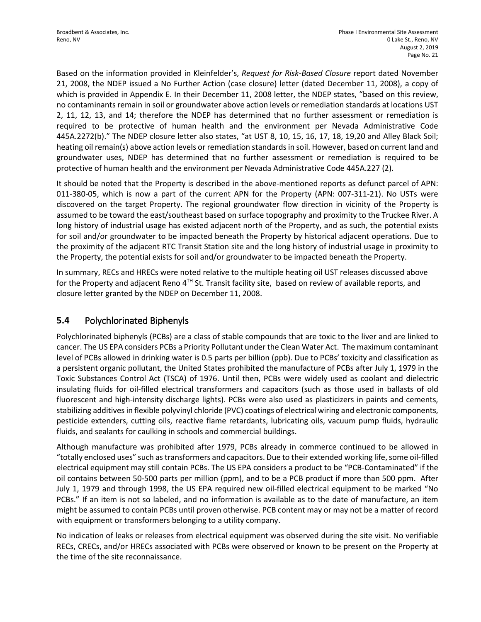Based on the information provided in Kleinfelder's, *Request for Risk-Based Closure* report dated November 21, 2008, the NDEP issued a No Further Action (case closure) letter (dated December 11, 2008), a copy of which is provided in Appendix E. In their December 11, 2008 letter, the NDEP states, "based on this review, no contaminants remain in soil or groundwater above action levels or remediation standards at locations UST 2, 11, 12, 13, and 14; therefore the NDEP has determined that no further assessment or remediation is required to be protective of human health and the environment per Nevada Administrative Code 445A.2272(b)." The NDEP closure letter also states, "at UST 8, 10, 15, 16, 17, 18, 19,20 and Alley Black Soil; heating oil remain(s) above action levels or remediation standards in soil. However, based on current land and groundwater uses, NDEP has determined that no further assessment or remediation is required to be protective of human health and the environment per Nevada Administrative Code 445A.227 (2).

It should be noted that the Property is described in the above-mentioned reports as defunct parcel of APN: 011-380-05, which is now a part of the current APN for the Property (APN: 007-311-21). No USTs were discovered on the target Property. The regional groundwater flow direction in vicinity of the Property is assumed to be toward the east/southeast based on surface topography and proximity to the Truckee River. A long history of industrial usage has existed adjacent north of the Property, and as such, the potential exists for soil and/or groundwater to be impacted beneath the Property by historical adjacent operations. Due to the proximity of the adjacent RTC Transit Station site and the long history of industrial usage in proximity to the Property, the potential exists for soil and/or groundwater to be impacted beneath the Property.

In summary, RECs and HRECs were noted relative to the multiple heating oil UST releases discussed above for the Property and adjacent Reno  $4<sup>TH</sup>$  St. Transit facility site, based on review of available reports, and closure letter granted by the NDEP on December 11, 2008.

## **5.4** Polychlorinated Biphenyls

Polychlorinated biphenyls (PCBs) are a class of stable compounds that are toxic to the liver and are linked to cancer. The US EPA considers PCBs a Priority Pollutant under the Clean Water Act. The maximum contaminant level of PCBs allowed in drinking water is 0.5 parts per billion (ppb). Due to PCBs' toxicity and classification as a persistent organic pollutant, the United States prohibited the manufacture of PCBs after July 1, 1979 in the Toxic Substances Control Act (TSCA) of 1976. Until then, PCBs were widely used as coolant and dielectric insulating fluids for oil-filled electrical transformers and capacitors (such as those used in ballasts of old fluorescent and high-intensity discharge lights). PCBs were also used as plasticizers in paints and cements, stabilizing additives in flexible polyvinyl chloride (PVC) coatings of electrical wiring and electronic components, pesticide extenders, cutting oils, reactive flame retardants, lubricating oils, vacuum pump fluids, hydraulic fluids, and sealants for caulking in schools and commercial buildings.

Although manufacture was prohibited after 1979, PCBs already in commerce continued to be allowed in "totally enclosed uses" such as transformers and capacitors. Due to their extended working life, some oil-filled electrical equipment may still contain PCBs. The US EPA considers a product to be "PCB-Contaminated" if the oil contains between 50-500 parts per million (ppm), and to be a PCB product if more than 500 ppm. After July 1, 1979 and through 1998, the US EPA required new oil-filled electrical equipment to be marked "No PCBs." If an item is not so labeled, and no information is available as to the date of manufacture, an item might be assumed to contain PCBs until proven otherwise. PCB content may or may not be a matter of record with equipment or transformers belonging to a utility company.

No indication of leaks or releases from electrical equipment was observed during the site visit. No verifiable RECs, CRECs, and/or HRECs associated with PCBs were observed or known to be present on the Property at the time of the site reconnaissance.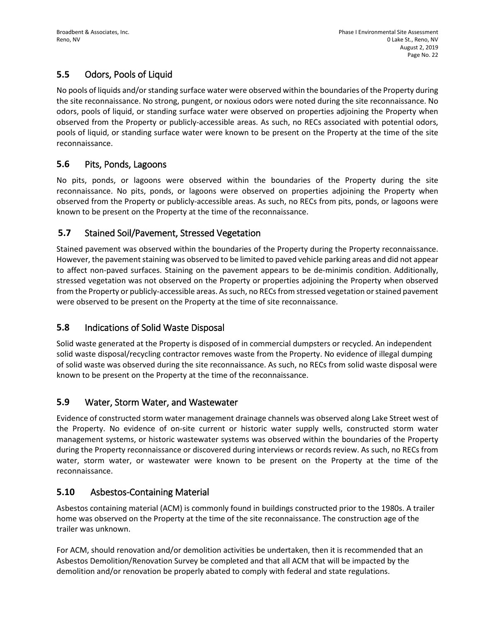# **5.5** Odors, Pools of Liquid

No pools of liquids and/or standing surface water were observed within the boundaries of the Property during the site reconnaissance. No strong, pungent, or noxious odors were noted during the site reconnaissance. No odors, pools of liquid, or standing surface water were observed on properties adjoining the Property when observed from the Property or publicly-accessible areas. As such, no RECs associated with potential odors, pools of liquid, or standing surface water were known to be present on the Property at the time of the site reconnaissance.

## **5.6** Pits, Ponds, Lagoons

No pits, ponds, or lagoons were observed within the boundaries of the Property during the site reconnaissance. No pits, ponds, or lagoons were observed on properties adjoining the Property when observed from the Property or publicly-accessible areas. As such, no RECs from pits, ponds, or lagoons were known to be present on the Property at the time of the reconnaissance.

## **5.7** Stained Soil/Pavement, Stressed Vegetation

Stained pavement was observed within the boundaries of the Property during the Property reconnaissance. However, the pavement staining was observed to be limited to paved vehicle parking areas and did not appear to affect non-paved surfaces. Staining on the pavement appears to be de-minimis condition. Additionally, stressed vegetation was not observed on the Property or properties adjoining the Property when observed from the Property or publicly-accessible areas. As such, no RECs from stressed vegetation or stained pavement were observed to be present on the Property at the time of site reconnaissance.

# **5.8** Indications of Solid Waste Disposal

Solid waste generated at the Property is disposed of in commercial dumpsters or recycled. An independent solid waste disposal/recycling contractor removes waste from the Property. No evidence of illegal dumping of solid waste was observed during the site reconnaissance. As such, no RECs from solid waste disposal were known to be present on the Property at the time of the reconnaissance.

## **5.9** Water, Storm Water, and Wastewater

Evidence of constructed storm water management drainage channels was observed along Lake Street west of the Property. No evidence of on-site current or historic water supply wells, constructed storm water management systems, or historic wastewater systems was observed within the boundaries of the Property during the Property reconnaissance or discovered during interviews or records review. As such, no RECs from water, storm water, or wastewater were known to be present on the Property at the time of the reconnaissance.

# **5.10** Asbestos-Containing Material

Asbestos containing material (ACM) is commonly found in buildings constructed prior to the 1980s. A trailer home was observed on the Property at the time of the site reconnaissance. The construction age of the trailer was unknown.

For ACM, should renovation and/or demolition activities be undertaken, then it is recommended that an Asbestos Demolition/Renovation Survey be completed and that all ACM that will be impacted by the demolition and/or renovation be properly abated to comply with federal and state regulations.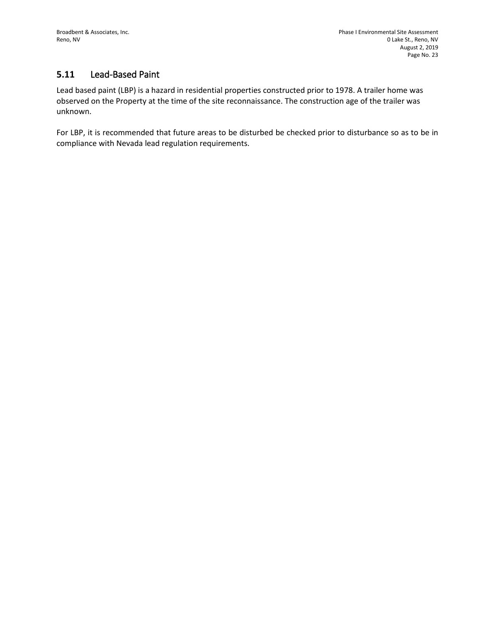# **5.11** Lead-Based Paint

Lead based paint (LBP) is a hazard in residential properties constructed prior to 1978. A trailer home was observed on the Property at the time of the site reconnaissance. The construction age of the trailer was unknown.

For LBP, it is recommended that future areas to be disturbed be checked prior to disturbance so as to be in compliance with Nevada lead regulation requirements.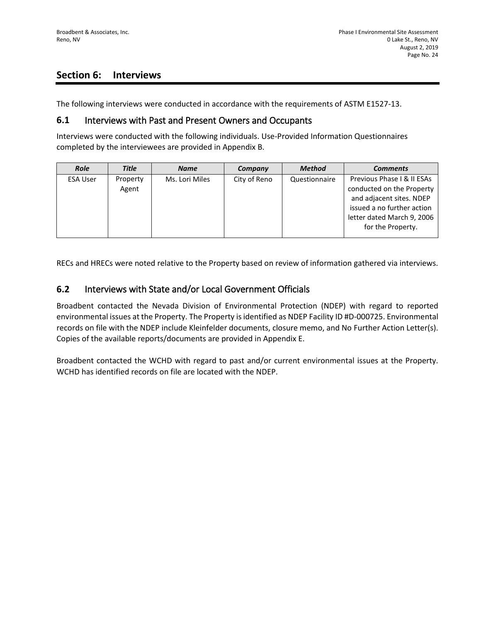## **Section 6: Interviews**

The following interviews were conducted in accordance with the requirements of ASTM E1527-13.

#### **6.1** Interviews with Past and Present Owners and Occupants

Interviews were conducted with the following individuals. Use-Provided Information Questionnaires completed by the interviewees are provided in Appendix B.

| <b>Role</b>     | <b>Title</b>      | <b>Name</b>    | Company      | <b>Method</b> | <b>Comments</b>                                                                                                                                                      |
|-----------------|-------------------|----------------|--------------|---------------|----------------------------------------------------------------------------------------------------------------------------------------------------------------------|
| <b>ESA User</b> | Property<br>Agent | Ms. Lori Miles | City of Reno | Questionnaire | Previous Phase I & II ESAs<br>conducted on the Property<br>and adjacent sites. NDEP<br>issued a no further action<br>letter dated March 9, 2006<br>for the Property. |

RECs and HRECs were noted relative to the Property based on review of information gathered via interviews.

#### **6.2** Interviews with State and/or Local Government Officials

Broadbent contacted the Nevada Division of Environmental Protection (NDEP) with regard to reported environmental issues at the Property. The Property is identified as NDEP Facility ID #D-000725. Environmental records on file with the NDEP include Kleinfelder documents, closure memo, and No Further Action Letter(s). Copies of the available reports/documents are provided in Appendix E.

Broadbent contacted the WCHD with regard to past and/or current environmental issues at the Property. WCHD has identified records on file are located with the NDEP.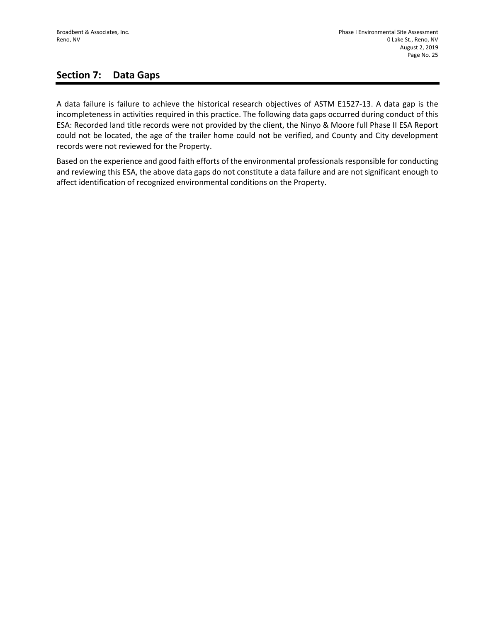## **Section 7: Data Gaps**

A data failure is failure to achieve the historical research objectives of ASTM E1527-13. A data gap is the incompleteness in activities required in this practice. The following data gaps occurred during conduct of this ESA: Recorded land title records were not provided by the client, the Ninyo & Moore full Phase II ESA Report could not be located, the age of the trailer home could not be verified, and County and City development records were not reviewed for the Property.

Based on the experience and good faith efforts of the environmental professionals responsible for conducting and reviewing this ESA, the above data gaps do not constitute a data failure and are not significant enough to affect identification of recognized environmental conditions on the Property.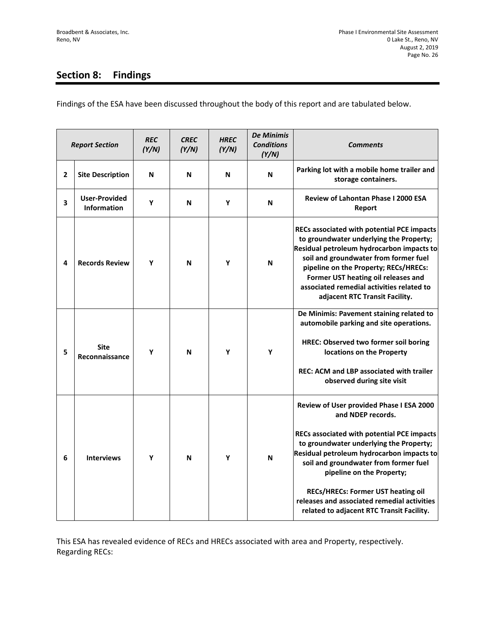# **Section 8: Findings**

Findings of the ESA have been discussed throughout the body of this report and are tabulated below.

| <b>Report Section</b> |                                            | <b>REC</b><br>(Y/N) | <b>CREC</b><br>(Y/N) | <b>HREC</b><br>(Y/N) | <b>De Minimis</b><br><b>Conditions</b><br>(Y/N) | <b>Comments</b>                                                                                                                                                                                                                                                                                                                                                                                             |
|-----------------------|--------------------------------------------|---------------------|----------------------|----------------------|-------------------------------------------------|-------------------------------------------------------------------------------------------------------------------------------------------------------------------------------------------------------------------------------------------------------------------------------------------------------------------------------------------------------------------------------------------------------------|
| 2                     | <b>Site Description</b>                    | N                   | N                    | N                    | N                                               | Parking lot with a mobile home trailer and<br>storage containers.                                                                                                                                                                                                                                                                                                                                           |
| 3                     | <b>User-Provided</b><br><b>Information</b> | Υ                   | N                    | Υ                    | N                                               | <b>Review of Lahontan Phase I 2000 ESA</b><br>Report                                                                                                                                                                                                                                                                                                                                                        |
| 4                     | <b>Records Review</b>                      | Y                   | N                    | Y                    | N                                               | RECs associated with potential PCE impacts<br>to groundwater underlying the Property;<br>Residual petroleum hydrocarbon impacts to<br>soil and groundwater from former fuel<br>pipeline on the Property; RECs/HRECs:<br>Former UST heating oil releases and<br>associated remedial activities related to<br>adjacent RTC Transit Facility.                                                                  |
| 5                     | <b>Site</b><br>Reconnaissance              | Y                   | N                    | Y                    | Y                                               | De Minimis: Pavement staining related to<br>automobile parking and site operations.<br>HREC: Observed two former soil boring<br>locations on the Property<br><b>REC: ACM and LBP associated with trailer</b><br>observed during site visit                                                                                                                                                                  |
| 6                     | <b>Interviews</b>                          | Y                   | N                    | Y                    | N                                               | Review of User provided Phase I ESA 2000<br>and NDEP records.<br>RECs associated with potential PCE impacts<br>to groundwater underlying the Property;<br>Residual petroleum hydrocarbon impacts to<br>soil and groundwater from former fuel<br>pipeline on the Property;<br>RECs/HRECs: Former UST heating oil<br>releases and associated remedial activities<br>related to adjacent RTC Transit Facility. |

This ESA has revealed evidence of RECs and HRECs associated with area and Property, respectively. Regarding RECs: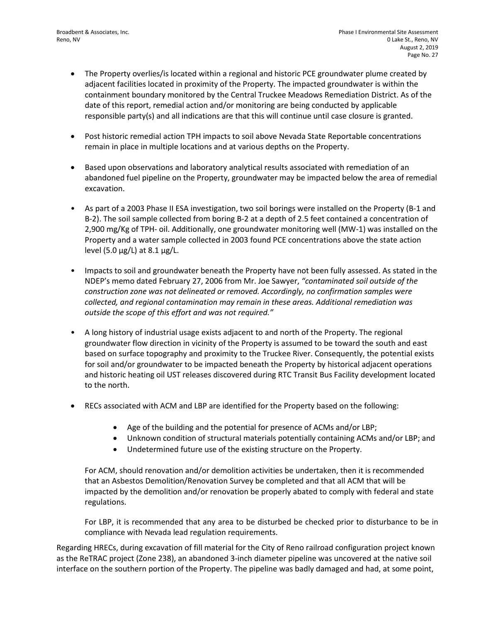- The Property overlies/is located within a regional and historic PCE groundwater plume created by adjacent facilities located in proximity of the Property. The impacted groundwater is within the containment boundary monitored by the Central Truckee Meadows Remediation District. As of the date of this report, remedial action and/or monitoring are being conducted by applicable responsible party(s) and all indications are that this will continue until case closure is granted.
- Post historic remedial action TPH impacts to soil above Nevada State Reportable concentrations remain in place in multiple locations and at various depths on the Property.
- Based upon observations and laboratory analytical results associated with remediation of an abandoned fuel pipeline on the Property, groundwater may be impacted below the area of remedial excavation.
- As part of a 2003 Phase II ESA investigation, two soil borings were installed on the Property (B-1 and B-2). The soil sample collected from boring B-2 at a depth of 2.5 feet contained a concentration of 2,900 mg/Kg of TPH- oil. Additionally, one groundwater monitoring well (MW-1) was installed on the Property and a water sample collected in 2003 found PCE concentrations above the state action level (5.0  $\mu$ g/L) at 8.1  $\mu$ g/L.
- Impacts to soil and groundwater beneath the Property have not been fully assessed. As stated in the NDEP's memo dated February 27, 2006 from Mr. Joe Sawyer, *"contaminated soil outside of the construction zone was not delineated or removed. Accordingly, no confirmation samples were collected, and regional contamination may remain in these areas. Additional remediation was outside the scope of this effort and was not required."*
- A long history of industrial usage exists adjacent to and north of the Property. The regional groundwater flow direction in vicinity of the Property is assumed to be toward the south and east based on surface topography and proximity to the Truckee River. Consequently, the potential exists for soil and/or groundwater to be impacted beneath the Property by historical adjacent operations and historic heating oil UST releases discovered during RTC Transit Bus Facility development located to the north.
- RECs associated with ACM and LBP are identified for the Property based on the following:
	- Age of the building and the potential for presence of ACMs and/or LBP;
	- Unknown condition of structural materials potentially containing ACMs and/or LBP; and
	- Undetermined future use of the existing structure on the Property.

For ACM, should renovation and/or demolition activities be undertaken, then it is recommended that an Asbestos Demolition/Renovation Survey be completed and that all ACM that will be impacted by the demolition and/or renovation be properly abated to comply with federal and state regulations.

For LBP, it is recommended that any area to be disturbed be checked prior to disturbance to be in compliance with Nevada lead regulation requirements.

Regarding HRECs, during excavation of fill material for the City of Reno railroad configuration project known as the ReTRAC project (Zone 238), an abandoned 3-inch diameter pipeline was uncovered at the native soil interface on the southern portion of the Property. The pipeline was badly damaged and had, at some point,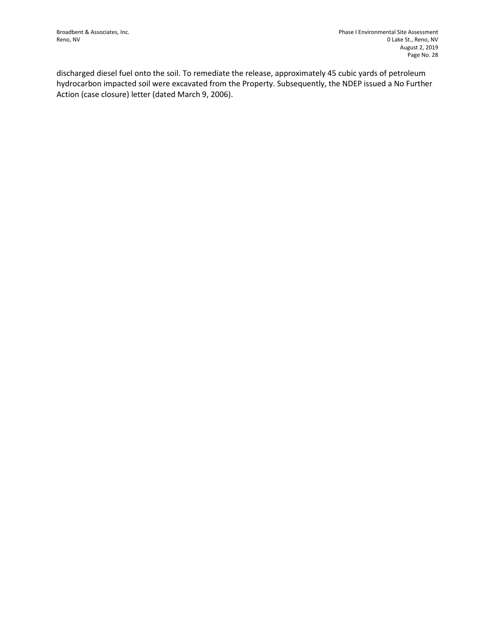discharged diesel fuel onto the soil. To remediate the release, approximately 45 cubic yards of petroleum hydrocarbon impacted soil were excavated from the Property. Subsequently, the NDEP issued a No Further Action (case closure) letter (dated March 9, 2006).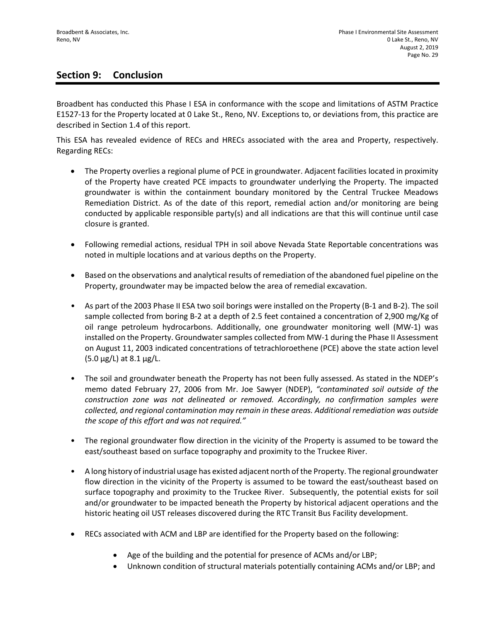## **Section 9: Conclusion**

Broadbent has conducted this Phase I ESA in conformance with the scope and limitations of ASTM Practice E1527-13 for the Property located at 0 Lake St., Reno, NV. Exceptions to, or deviations from, this practice are described in Section 1.4 of this report.

This ESA has revealed evidence of RECs and HRECs associated with the area and Property, respectively. Regarding RECs:

- The Property overlies a regional plume of PCE in groundwater. Adjacent facilities located in proximity of the Property have created PCE impacts to groundwater underlying the Property. The impacted groundwater is within the containment boundary monitored by the Central Truckee Meadows Remediation District. As of the date of this report, remedial action and/or monitoring are being conducted by applicable responsible party(s) and all indications are that this will continue until case closure is granted.
- Following remedial actions, residual TPH in soil above Nevada State Reportable concentrations was noted in multiple locations and at various depths on the Property.
- Based on the observations and analytical results of remediation of the abandoned fuel pipeline on the Property, groundwater may be impacted below the area of remedial excavation.
- As part of the 2003 Phase II ESA two soil borings were installed on the Property (B-1 and B-2). The soil sample collected from boring B-2 at a depth of 2.5 feet contained a concentration of 2,900 mg/Kg of oil range petroleum hydrocarbons. Additionally, one groundwater monitoring well (MW-1) was installed on the Property. Groundwater samples collected from MW-1 during the Phase II Assessment on August 11, 2003 indicated concentrations of tetrachloroethene (PCE) above the state action level  $(5.0 \,\mu g/L)$  at 8.1  $\mu g/L$ .
- The soil and groundwater beneath the Property has not been fully assessed. As stated in the NDEP's memo dated February 27, 2006 from Mr. Joe Sawyer (NDEP), *"contaminated soil outside of the construction zone was not delineated or removed. Accordingly, no confirmation samples were collected, and regional contamination may remain in these areas. Additional remediation was outside the scope of this effort and was not required."*
- The regional groundwater flow direction in the vicinity of the Property is assumed to be toward the east/southeast based on surface topography and proximity to the Truckee River.
- A long history of industrial usage has existed adjacent north of the Property. The regional groundwater flow direction in the vicinity of the Property is assumed to be toward the east/southeast based on surface topography and proximity to the Truckee River. Subsequently, the potential exists for soil and/or groundwater to be impacted beneath the Property by historical adjacent operations and the historic heating oil UST releases discovered during the RTC Transit Bus Facility development.
- RECs associated with ACM and LBP are identified for the Property based on the following:
	- Age of the building and the potential for presence of ACMs and/or LBP;
	- Unknown condition of structural materials potentially containing ACMs and/or LBP; and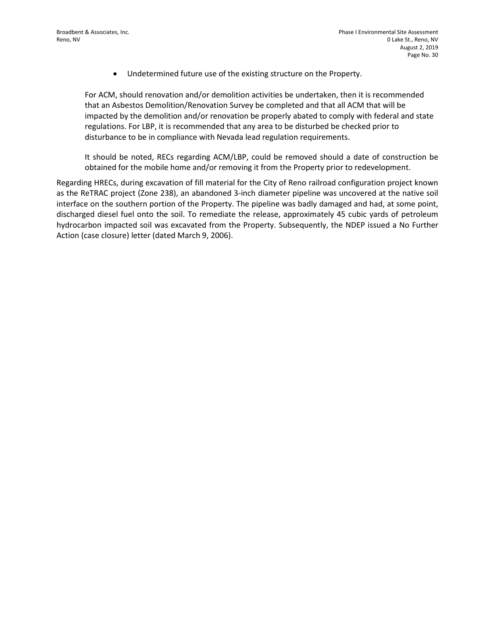• Undetermined future use of the existing structure on the Property.

For ACM, should renovation and/or demolition activities be undertaken, then it is recommended that an Asbestos Demolition/Renovation Survey be completed and that all ACM that will be impacted by the demolition and/or renovation be properly abated to comply with federal and state regulations. For LBP, it is recommended that any area to be disturbed be checked prior to disturbance to be in compliance with Nevada lead regulation requirements.

It should be noted, RECs regarding ACM/LBP, could be removed should a date of construction be obtained for the mobile home and/or removing it from the Property prior to redevelopment.

Regarding HRECs, during excavation of fill material for the City of Reno railroad configuration project known as the ReTRAC project (Zone 238), an abandoned 3-inch diameter pipeline was uncovered at the native soil interface on the southern portion of the Property. The pipeline was badly damaged and had, at some point, discharged diesel fuel onto the soil. To remediate the release, approximately 45 cubic yards of petroleum hydrocarbon impacted soil was excavated from the Property. Subsequently, the NDEP issued a No Further Action (case closure) letter (dated March 9, 2006).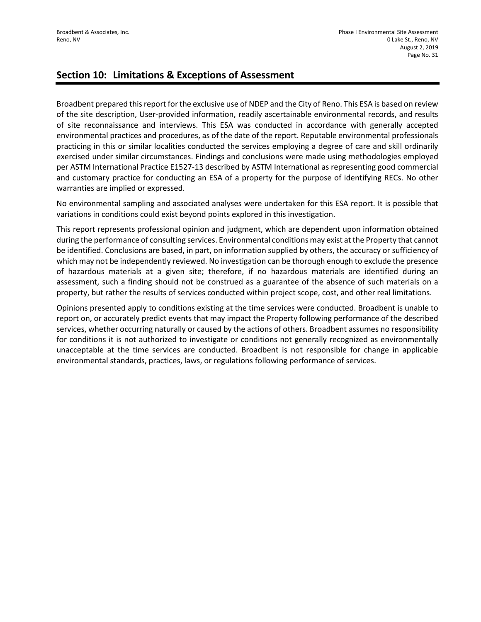## **Section 10: Limitations & Exceptions of Assessment**

Broadbent prepared this report for the exclusive use of NDEP and the City of Reno. This ESA is based on review of the site description, User-provided information, readily ascertainable environmental records, and results of site reconnaissance and interviews. This ESA was conducted in accordance with generally accepted environmental practices and procedures, as of the date of the report. Reputable environmental professionals practicing in this or similar localities conducted the services employing a degree of care and skill ordinarily exercised under similar circumstances. Findings and conclusions were made using methodologies employed per ASTM International Practice E1527-13 described by ASTM International as representing good commercial and customary practice for conducting an ESA of a property for the purpose of identifying RECs. No other warranties are implied or expressed.

No environmental sampling and associated analyses were undertaken for this ESA report. It is possible that variations in conditions could exist beyond points explored in this investigation.

This report represents professional opinion and judgment, which are dependent upon information obtained during the performance of consulting services. Environmental conditions may exist at the Property that cannot be identified. Conclusions are based, in part, on information supplied by others, the accuracy or sufficiency of which may not be independently reviewed. No investigation can be thorough enough to exclude the presence of hazardous materials at a given site; therefore, if no hazardous materials are identified during an assessment, such a finding should not be construed as a guarantee of the absence of such materials on a property, but rather the results of services conducted within project scope, cost, and other real limitations.

Opinions presented apply to conditions existing at the time services were conducted. Broadbent is unable to report on, or accurately predict events that may impact the Property following performance of the described services, whether occurring naturally or caused by the actions of others. Broadbent assumes no responsibility for conditions it is not authorized to investigate or conditions not generally recognized as environmentally unacceptable at the time services are conducted. Broadbent is not responsible for change in applicable environmental standards, practices, laws, or regulations following performance of services.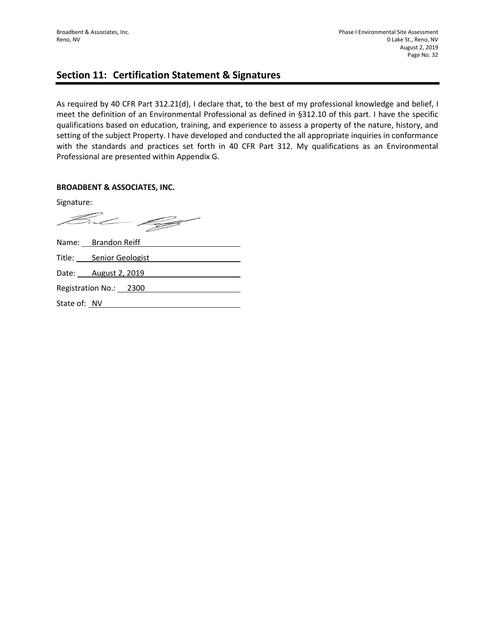## **Section 11: Certification Statement & Signatures**

As required by 40 CFR Part 312.21(d), I declare that, to the best of my professional knowledge and belief, I meet the definition of an Environmental Professional as defined in §312.10 of this part. I have the specific qualifications based on education, training, and experience to assess a property of the nature, history, and setting of the subject Property. I have developed and conducted the all appropriate inquiries in conformance with the standards and practices set forth in 40 CFR Part 312. My qualifications as an Environmental Professional are presented within Appendix G.

#### **BROADBENT & ASSOCIATES, INC.**

Signature:

But 199

|              | Name: Brandon Reiff     |
|--------------|-------------------------|
|              | Title: Senior Geologist |
|              | Date: August 2, 2019    |
|              | Registration No.: 2300  |
| State of: NV |                         |